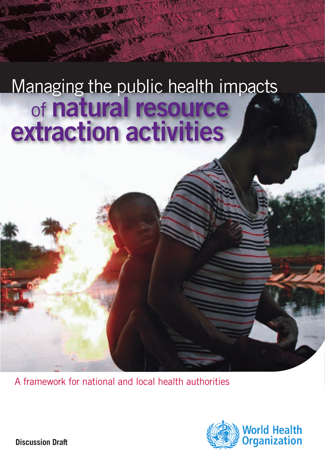# Managing the public health impacts of natural resource extraction activities

A framework for national and local health authorities



**Discussion Draft**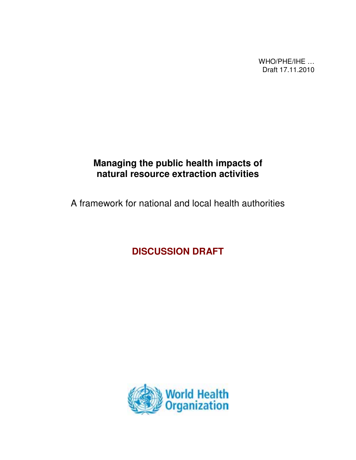WHO/PHE/IHE … Draft 17.11.2010

# **Managing the public health impacts of natural resource extraction activities**

A framework for national and local health authorities

**DISCUSSION DRAFT** 

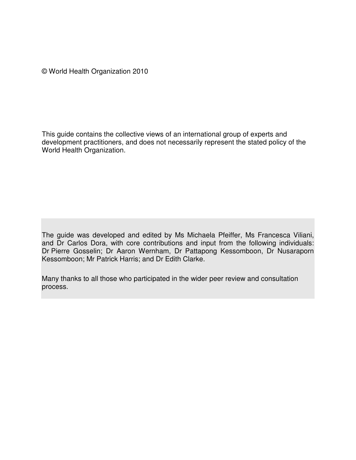© World Health Organization 2010

This guide contains the collective views of an international group of experts and development practitioners, and does not necessarily represent the stated policy of the World Health Organization.

The guide was developed and edited by Ms Michaela Pfeiffer, Ms Francesca Viliani, and Dr Carlos Dora, with core contributions and input from the following individuals: Dr Pierre Gosselin; Dr Aaron Wernham, Dr Pattapong Kessomboon, Dr Nusaraporn Kessomboon; Mr Patrick Harris; and Dr Edith Clarke.

Many thanks to all those who participated in the wider peer review and consultation process.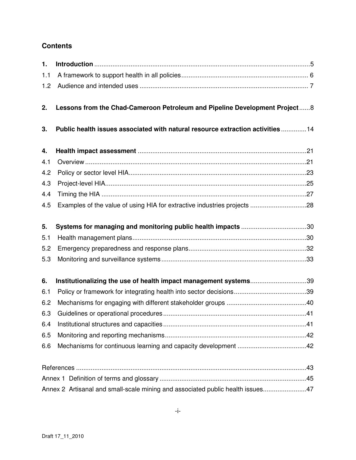### **Contents**

| $\mathbf{1}$ . |                                                                                |  |
|----------------|--------------------------------------------------------------------------------|--|
| 1.1            |                                                                                |  |
| 1.2            |                                                                                |  |
| 2.             | Lessons from the Chad-Cameroon Petroleum and Pipeline Development Project8     |  |
| 3.             | Public health issues associated with natural resource extraction activities14  |  |
| 4.             |                                                                                |  |
| 4.1            |                                                                                |  |
| 4.2            |                                                                                |  |
| 4.3            |                                                                                |  |
| 4.4            |                                                                                |  |
| 4.5            |                                                                                |  |
| 5.             | Systems for managing and monitoring public health impacts 30                   |  |
| 5.1            |                                                                                |  |
| 5.2            |                                                                                |  |
| 5.3            |                                                                                |  |
| 6.             | Institutionalizing the use of health impact management systems39               |  |
| 6.1            |                                                                                |  |
| 6.2            |                                                                                |  |
| 6.3            |                                                                                |  |
| 6.4            |                                                                                |  |
| 6.5            |                                                                                |  |
| 6.6            |                                                                                |  |
|                |                                                                                |  |
|                |                                                                                |  |
|                | Annex 2 Artisanal and small-scale mining and associated public health issues47 |  |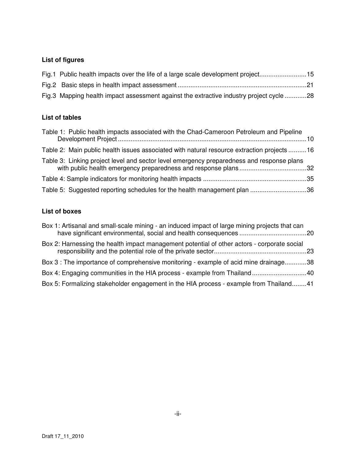## **List of figures**

| Fig.1 Public health impacts over the life of a large scale development project15        |  |
|-----------------------------------------------------------------------------------------|--|
|                                                                                         |  |
| Fig.3 Mapping health impact assessment against the extractive industry project cycle 28 |  |

#### **List of tables**

| Table 1: Public health impacts associated with the Chad-Cameroon Petroleum and Pipeline    |  |
|--------------------------------------------------------------------------------------------|--|
| Table 2: Main public health issues associated with natural resource extraction projects 16 |  |
| Table 3: Linking project level and sector level emergency preparedness and response plans  |  |
|                                                                                            |  |
| Table 5: Suggested reporting schedules for the health management plan 36                   |  |

#### **List of boxes**

| Box 1: Artisanal and small-scale mining - an induced impact of large mining projects that can |  |
|-----------------------------------------------------------------------------------------------|--|
| Box 2: Harnessing the health impact management potential of other actors - corporate social   |  |
| Box 3 : The importance of comprehensive monitoring - example of acid mine drainage38          |  |
|                                                                                               |  |
| Box 5: Formalizing stakeholder engagement in the HIA process - example from Thailand41        |  |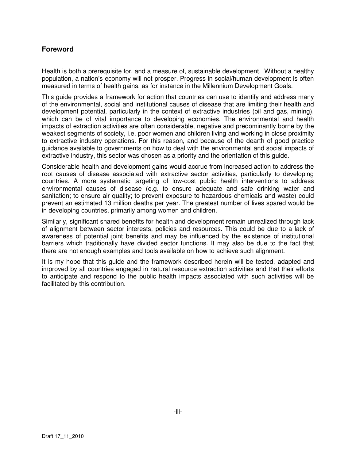#### **Foreword**

Health is both a prerequisite for, and a measure of, sustainable development. Without a healthy population, a nation's economy will not prosper. Progress in social/human development is often measured in terms of health gains, as for instance in the Millennium Development Goals.

This guide provides a framework for action that countries can use to identify and address many of the environmental, social and institutional causes of disease that are limiting their health and development potential, particularly in the context of extractive industries (oil and gas, mining), which can be of vital importance to developing economies. The environmental and health impacts of extraction activities are often considerable, negative and predominantly borne by the weakest segments of society, i.e. poor women and children living and working in close proximity to extractive industry operations. For this reason, and because of the dearth of good practice guidance available to governments on how to deal with the environmental and social impacts of extractive industry, this sector was chosen as a priority and the orientation of this guide.

Considerable health and development gains would accrue from increased action to address the root causes of disease associated with extractive sector activities, particularly to developing countries. A more systematic targeting of low-cost public health interventions to address environmental causes of disease (e.g. to ensure adequate and safe drinking water and sanitation; to ensure air quality; to prevent exposure to hazardous chemicals and waste) could prevent an estimated 13 million deaths per year. The greatest number of lives spared would be in developing countries, primarily among women and children.

Similarly, significant shared benefits for health and development remain unrealized through lack of alignment between sector interests, policies and resources. This could be due to a lack of awareness of potential joint benefits and may be influenced by the existence of institutional barriers which traditionally have divided sector functions. It may also be due to the fact that there are not enough examples and tools available on how to achieve such alignment.

It is my hope that this guide and the framework described herein will be tested, adapted and improved by all countries engaged in natural resource extraction activities and that their efforts to anticipate and respond to the public health impacts associated with such activities will be facilitated by this contribution.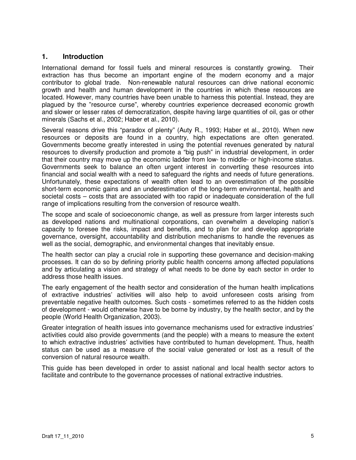#### **1. Introduction**

International demand for fossil fuels and mineral resources is constantly growing. Their extraction has thus become an important engine of the modern economy and a major contributor to global trade. Non-renewable natural resources can drive national economic growth and health and human development in the countries in which these resources are located. However, many countries have been unable to harness this potential. Instead, they are plagued by the "resource curse", whereby countries experience decreased economic growth and slower or lesser rates of democratization, despite having large quantities of oil, gas or other minerals (Sachs et al., 2002; Haber et al., 2010).

Several reasons drive this "paradox of plenty" (Auty R., 1993; Haber et al., 2010). When new resources or deposits are found in a country, high expectations are often generated. Governments become greatly interested in using the potential revenues generated by natural resources to diversify production and promote a "big push" in industrial development, in order that their country may move up the economic ladder from low- to middle- or high-income status. Governments seek to balance an often urgent interest in converting these resources into financial and social wealth with a need to safeguard the rights and needs of future generations. Unfortunately, these expectations of wealth often lead to an overestimation of the possible short-term economic gains and an underestimation of the long-term environmental, health and societal costs – costs that are associated with too rapid or inadequate consideration of the full range of implications resulting from the conversion of resource wealth.

The scope and scale of socioeconomic change, as well as pressure from larger interests such as developed nations and multinational corporations, can overwhelm a developing nation's capacity to foresee the risks, impact and benefits, and to plan for and develop appropriate governance, oversight, accountability and distribution mechanisms to handle the revenues as well as the social, demographic, and environmental changes that inevitably ensue.

The health sector can play a crucial role in supporting these governance and decision-making processes. It can do so by defining priority public health concerns among affected populations and by articulating a vision and strategy of what needs to be done by each sector in order to address those health issues.

The early engagement of the health sector and consideration of the human health implications of extractive industries' activities will also help to avoid unforeseen costs arising from preventable negative health outcomes. Such costs - sometimes referred to as the hidden costs of development - would otherwise have to be borne by industry, by the health sector, and by the people (World Health Organization, 2003).

Greater integration of health issues into governance mechanisms used for extractive industries' activities could also provide governments (and the people) with a means to measure the extent to which extractive industries' activities have contributed to human development. Thus, health status can be used as a measure of the social value generated or lost as a result of the conversion of natural resource wealth.

This guide has been developed in order to assist national and local health sector actors to facilitate and contribute to the governance processes of national extractive industries.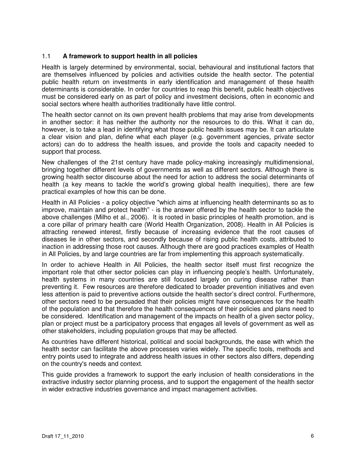#### 1.1 **A framework to support health in all policies**

Health is largely determined by environmental, social, behavioural and institutional factors that are themselves influenced by policies and activities outside the health sector. The potential public health return on investments in early identification and management of these health determinants is considerable. In order for countries to reap this benefit, public health objectives must be considered early on as part of policy and investment decisions, often in economic and social sectors where health authorities traditionally have little control.

The health sector cannot on its own prevent health problems that may arise from developments in another sector: it has neither the authority nor the resources to do this. What it can do, however, is to take a lead in identifying what those public health issues may be. It can articulate a clear vision and plan, define what each player (e.g. government agencies, private sector actors) can do to address the health issues, and provide the tools and capacity needed to support that process.

New challenges of the 21st century have made policy-making increasingly multidimensional, bringing together different levels of governments as well as different sectors. Although there is growing health sector discourse about the need for action to address the social determinants of health (a key means to tackle the world's growing global health inequities), there are few practical examples of how this can be done.

Health in All Policies - a policy objective "which aims at influencing health determinants so as to improve, maintain and protect health" - is the answer offered by the health sector to tackle the above challenges (Milho et al., 2006). It is rooted in basic principles of health promotion, and is a core pillar of primary health care (World Health Organization, 2008). Health in All Policies is attracting renewed interest, firstly because of increasing evidence that the root causes of diseases lie in other sectors, and secondly because of rising public health costs, attributed to inaction in addressing those root causes. Although there are good practices examples of Health in All Policies, by and large countries are far from implementing this approach systematically.

In order to achieve Health in All Policies, the health sector itself must first recognize the important role that other sector policies can play in influencing people's health. Unfortunately, health systems in many countries are still focused largely on curing disease rather than preventing it. Few resources are therefore dedicated to broader prevention initiatives and even less attention is paid to preventive actions outside the health sector's direct control. Furthermore, other sectors need to be persuaded that their policies might have consequences for the health of the population and that therefore the health consequences of their policies and plans need to be considered. Identification and management of the impacts on health of a given sector policy, plan or project must be a participatory process that engages all levels of government as well as other stakeholders, including population groups that may be affected.

As countries have different historical, political and social backgrounds, the ease with which the health sector can facilitate the above processes varies widely. The specific tools, methods and entry points used to integrate and address health issues in other sectors also differs, depending on the country's needs and context.

This guide provides a framework to support the early inclusion of health considerations in the extractive industry sector planning process, and to support the engagement of the health sector in wider extractive industries governance and impact management activities.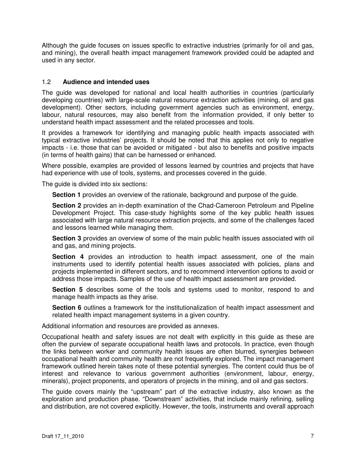Although the guide focuses on issues specific to extractive industries (primarily for oil and gas, and mining), the overall health impact management framework provided could be adapted and used in any sector.

#### 1.2 **Audience and intended uses**

The guide was developed for national and local health authorities in countries (particularly developing countries) with large-scale natural resource extraction activities (mining, oil and gas development). Other sectors, including government agencies such as environment, energy, labour, natural resources, may also benefit from the information provided, if only better to understand health impact assessment and the related processes and tools.

It provides a framework for identifying and managing public health impacts associated with typical extractive industries' projects. It should be noted that this applies not only to negative impacts - i.e. those that can be avoided or mitigated - but also to benefits and positive impacts (in terms of health gains) that can be harnessed or enhanced.

Where possible, examples are provided of lessons learned by countries and projects that have had experience with use of tools, systems, and processes covered in the guide.

The guide is divided into six sections:

**Section 1** provides an overview of the rationale, background and purpose of the guide.

**Section 2** provides an in-depth examination of the Chad-Cameroon Petroleum and Pipeline Development Project. This case-study highlights some of the key public health issues associated with large natural resource extraction projects, and some of the challenges faced and lessons learned while managing them.

**Section 3** provides an overview of some of the main public health issues associated with oil and gas, and mining projects.

**Section 4** provides an introduction to health impact assessment, one of the main instruments used to identify potential health issues associated with policies, plans and projects implemented in different sectors, and to recommend intervention options to avoid or address those impacts. Samples of the use of health impact assessment are provided.

**Section 5** describes some of the tools and systems used to monitor, respond to and manage health impacts as they arise.

**Section 6** outlines a framework for the institutionalization of health impact assessment and related health impact management systems in a given country.

Additional information and resources are provided as annexes.

Occupational health and safety issues are not dealt with explicitly in this guide as these are often the purview of separate occupational health laws and protocols. In practice, even though the links between worker and community health issues are often blurred, synergies between occupational health and community health are not frequently explored. The impact management framework outlined herein takes note of these potential synergies. The content could thus be of interest and relevance to various government authorities (environment, labour, energy, minerals), project proponents, and operators of projects in the mining, and oil and gas sectors.

The guide covers mainly the "upstream" part of the extractive industry, also known as the exploration and production phase. "Downstream" activities, that include mainly refining, selling and distribution, are not covered explicitly. However, the tools, instruments and overall approach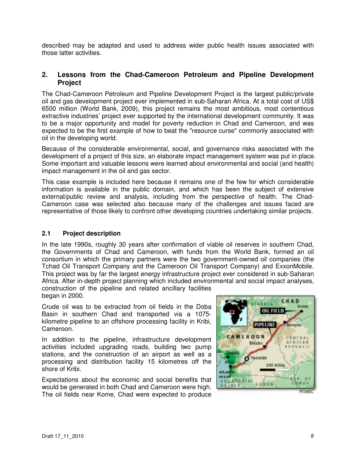described may be adapted and used to address wider public health issues associated with those latter activities.

#### **2. Lessons from the Chad-Cameroon Petroleum and Pipeline Development Project**

The Chad-Cameroon Petroleum and Pipeline Development Project is the largest public/private oil and gas development project ever implemented in sub-Saharan Africa. At a total cost of US\$ 6500 million (World Bank, 2009), this project remains the most ambitious, most contentious extractive industries' project ever supported by the international development community. It was to be a major opportunity and model for poverty reduction in Chad and Cameroon, and was expected to be the first example of how to beat the "resource curse" commonly associated with oil in the developing world.

Because of the considerable environmental, social, and governance risks associated with the development of a project of this size, an elaborate impact management system was put in place. Some important and valuable lessons were learned about environmental and social (and health) impact management in the oil and gas sector.

This case example is included here because it remains one of the few for which considerable information is available in the public domain, and which has been the subject of extensive external/public review and analysis, including from the perspective of health. The Chad-Cameroon case was selected also because many of the challenges and issues faced are representative of those likely to confront other developing countries undertaking similar projects.

#### **2.1 Project description**

In the late 1990s, roughly 30 years after confirmation of viable oil reserves in southern Chad, the Governments of Chad and Cameroon, with funds from the World Bank, formed an oil consortium in which the primary partners were the two government-owned oil companies (the Tchad Oil Transport Company and the Cameroon Oil Transport Company) and ExxonMobile. This project was by far the largest energy infrastructure project ever considered in sub-Saharan Africa. After in-depth project planning which included environmental and social impact analyses,

construction of the pipeline and related ancillary facilities began in 2000.

Crude oil was to be extracted from oil fields in the Doba Basin in southern Chad and transported via a 1075 kilometre pipeline to an offshore processing facility in Kribi, Cameroon.

In addition to the pipeline, infrastructure development activities included upgrading roads, building two pump stations, and the construction of an airport as well as a processing and distribution facility 15 kilometres off the shore of Kribi.

Expectations about the economic and social benefits that would be generated in both Chad and Cameroon were high. The oil fields near Kome, Chad were expected to produce

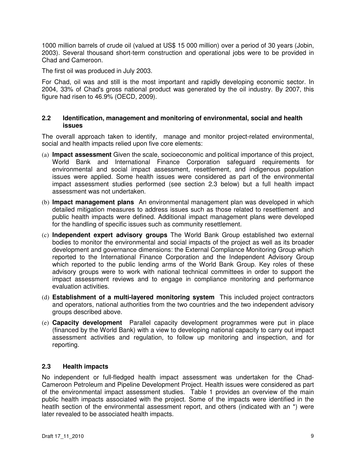1000 million barrels of crude oil (valued at US\$ 15 000 million) over a period of 30 years (Jobin, 2003). Several thousand short-term construction and operational jobs were to be provided in Chad and Cameroon.

The first oil was produced in July 2003.

For Chad, oil was and still is the most important and rapidly developing economic sector. In 2004, 33% of Chad's gross national product was generated by the oil industry. By 2007, this figure had risen to 46.9% (OECD, 2009).

#### **2.2 Identification, management and monitoring of environmental, social and health issues**

The overall approach taken to identify, manage and monitor project-related environmental, social and health impacts relied upon five core elements:

- (a) **Impact assessment** Given the scale, socioeconomic and political importance of this project, World Bank and International Finance Corporation safeguard requirements for environmental and social impact assessment, resettlement, and indigenous population issues were applied. Some health issues were considered as part of the environmental impact assessment studies performed (see section 2.3 below) but a full health impact assessment was not undertaken.
- (b) **Impact management plans** An environmental management plan was developed in which detailed mitigation measures to address issues such as those related to resettlement and public health impacts were defined. Additional impact management plans were developed for the handling of specific issues such as community resettlement.
- (c) **Independent expert advisory groups** The World Bank Group established two external bodies to monitor the environmental and social impacts of the project as well as its broader development and governance dimensions: the External Compliance Monitoring Group which reported to the International Finance Corporation and the Independent Advisory Group which reported to the public lending arms of the World Bank Group. Key roles of these advisory groups were to work with national technical committees in order to support the impact assessment reviews and to engage in compliance monitoring and performance evaluation activities.
- (d) **Establishment of a multi-layered monitoring system** This included project contractors and operators, national authorities from the two countries and the two independent advisory groups described above.
- (e) **Capacity development** Parallel capacity development programmes were put in place (financed by the World Bank) with a view to developing national capacity to carry out impact assessment activities and regulation, to follow up monitoring and inspection, and for reporting.

#### **2.3 Health impacts**

No independent or full-fledged health impact assessment was undertaken for the Chad-Cameroon Petroleum and Pipeline Development Project. Health issues were considered as part of the environmental impact assessment studies. Table 1 provides an overview of the main public health impacts associated with the project. Some of the impacts were identified in the heatlh section of the environmental assessment report, and others (indicated with an \*) were later revealed to be associated health impacts.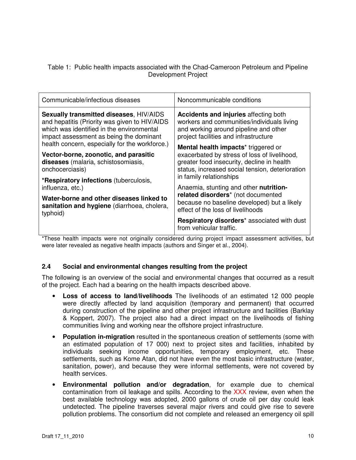Table 1: Public health impacts associated with the Chad-Cameroon Petroleum and Pipeline Development Project

| Communicable/infectious diseases                                                                                                                                                                                                   | Noncommunicable conditions                                                                                                                                                                                                                                                                                                                                                                                         |  |
|------------------------------------------------------------------------------------------------------------------------------------------------------------------------------------------------------------------------------------|--------------------------------------------------------------------------------------------------------------------------------------------------------------------------------------------------------------------------------------------------------------------------------------------------------------------------------------------------------------------------------------------------------------------|--|
| Sexually transmitted diseases, HIV/AIDS<br>and hepatitis (Priority was given to HIV/AIDS<br>which was identified in the environmental<br>impact assessment as being the dominant<br>health concern, especially for the workforce.) | <b>Accidents and injuries affecting both</b><br>workers and communities/individuals living<br>and working around pipeline and other<br>project facilities and infrastructure<br><b>Mental health impacts</b> <sup>*</sup> triggered or<br>exacerbated by stress of loss of livelihood,<br>greater food insecurity, decline in health<br>status, increased social tension, deterioration<br>in family relationships |  |
| Vector-borne, zoonotic, and parasitic<br>diseases (malaria, schistosomiasis,<br>onchocerciasis)                                                                                                                                    |                                                                                                                                                                                                                                                                                                                                                                                                                    |  |
| *Respiratory infections (tuberculosis,<br>influenza, etc.)                                                                                                                                                                         | Anaemia, stunting and other nutrition-                                                                                                                                                                                                                                                                                                                                                                             |  |
| Water-borne and other diseases linked to<br>sanitation and hygiene (diarrhoea, cholera,<br>typhoid)                                                                                                                                | related disorders* (not documented<br>because no baseline developed) but a likely<br>effect of the loss of livelihoods                                                                                                                                                                                                                                                                                             |  |
|                                                                                                                                                                                                                                    | Respiratory disorders* associated with dust<br>from vehicular traffic.                                                                                                                                                                                                                                                                                                                                             |  |

\*These health impacts were not originally considered during project impact assessment activities, but were later revealed as negative health impacts (authors and Singer et al., 2004).

#### **2.4 Social and environmental changes resulting from the project**

The following is an overview of the social and environmental changes that occurred as a result of the project. Each had a bearing on the health impacts described above.

- **Loss of access to land/livelihoods** The livelihoods of an estimated 12 000 people were directly affected by land acquisition (temporary and permanent) that occurred during construction of the pipeline and other project infrastructure and facilities (Barklay & Koppert, 2007). The project also had a direct impact on the livelihoods of fishing communities living and working near the offshore project infrastructure.
- **Population in-migration** resulted in the spontaneous creation of settlements (some with an estimated population of 17 000) next to project sites and facilities, inhabited by individuals seeking income opportunities, temporary employment, etc. These settlements, such as Kome Atan, did not have even the most basic infrastructure (water, sanitation, power), and because they were informal settlements, were not covered by health services.
- **Environmental pollution and/or degradation**, for example due to chemical contamination from oil leakage and spills. According to the XXX review, even when the best available technology was adopted, 2000 gallons of crude oil per day could leak undetected. The pipeline traverses several major rivers and could give rise to severe pollution problems. The consortium did not complete and released an emergency oil spill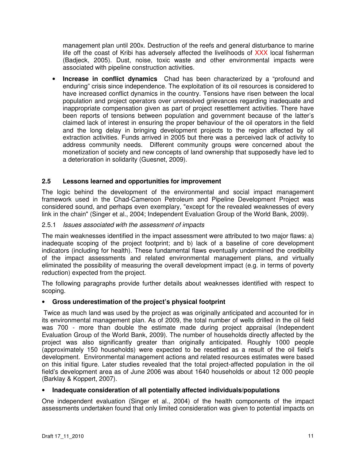management plan until 200x. Destruction of the reefs and general disturbance to marine life off the coast of Kribi has adversely affected the livelihoods of XXX local fisherman (Badjeck, 2005). Dust, noise, toxic waste and other environmental impacts were associated with pipeline construction activities.

**Increase in conflict dynamics** Chad has been characterized by a "profound and enduring" crisis since independence. The exploitation of its oil resources is considered to have increased conflict dynamics in the country. Tensions have risen between the local population and project operators over unresolved grievances regarding inadequate and inappropriate compensation given as part of project resettlement activities. There have been reports of tensions between population and government because of the latter's claimed lack of interest in ensuring the proper behaviour of the oil operators in the field and the long delay in bringing development projects to the region affected by oil extraction activities. Funds arrived in 2005 but there was a perceived lack of activity to address community needs. Different community groups were concerned about the monetization of society and new concepts of land ownership that supposedly have led to a deterioration in solidarity (Guesnet, 2009).

#### **2.5 Lessons learned and opportunities for improvement**

The logic behind the development of the environmental and social impact management framework used in the Chad-Cameroon Petroleum and Pipeline Development Project was considered sound, and perhaps even exemplary, "except for the revealed weaknesses of every link in the chain" (Singer et al., 2004; Independent Evaluation Group of the World Bank, 2009).

#### 2.5.1Issues associated with the assessment of impacts

The main weaknesses identified in the impact assessment were attributed to two major flaws: a) inadequate scoping of the project footprint; and b) lack of a baseline of core development indicators (including for health). These fundamental flaws eventually undermined the credibility of the impact assessments and related environmental management plans, and virtually eliminated the possibility of measuring the overall development impact (e.g. in terms of poverty reduction) expected from the project.

The following paragraphs provide further details about weaknesses identified with respect to scoping.

#### • **Gross underestimation of the project's physical footprint**

Twice as much land was used by the project as was originally anticipated and accounted for in its environmental management plan. As of 2009, the total number of wells drilled in the oil field was 700 - more than double the estimate made during project appraisal (Independent Evaluation Group of the World Bank, 2009). The number of households directly affected by the project was also significantly greater than originally anticipated. Roughly 1000 people (approximately 150 households) were expected to be resettled as a result of the oil field's development. Environmental management actions and related resources estimates were based on this initial figure. Later studies revealed that the total project-affected population in the oil field's development area as of June 2006 was about 1640 households or about 12 000 people (Barklay & Koppert, 2007).

#### • **Inadequate consideration of all potentially affected individuals/populations**

One independent evaluation (Singer et al., 2004) of the health components of the impact assessments undertaken found that only limited consideration was given to potential impacts on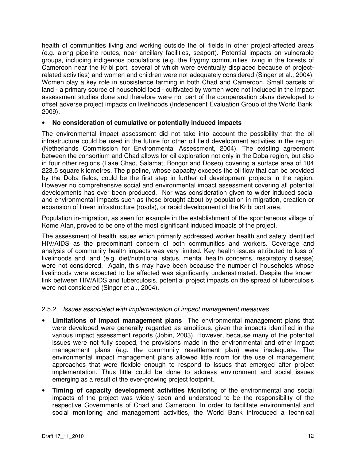health of communities living and working outside the oil fields in other project-affected areas (e.g. along pipeline routes, near ancillary facilities, seaport). Potential impacts on vulnerable groups, including indigenous populations (e.g. the Pygmy communities living in the forests of Cameroon near the Kribi port, several of which were eventually displaced because of projectrelated activities) and women and children were not adequately considered (Singer et al., 2004). Women play a key role in subsistence farming in both Chad and Cameroon. Small parcels of land - a primary source of household food - cultivated by women were not included in the impact assessment studies done and therefore were not part of the compensation plans developed to offset adverse project impacts on livelihoods (Independent Evaluation Group of the World Bank, 2009).

#### • **No consideration of cumulative or potentially induced impacts**

The environmental impact assessment did not take into account the possibility that the oil infrastructure could be used in the future for other oil field development activities in the region (Netherlands Commission for Environmental Assessment, 2004). The existing agreement between the consortium and Chad allows for oil exploration not only in the Doba region, but also in four other regions (Lake Chad, Salamat, Bongor and Doseo) covering a surface area of 104 223.5 square kilometres. The pipeline, whose capacity exceeds the oil flow that can be provided by the Doba fields, could be the first step in further oil development projects in the region. However no comprehensive social and environmental impact assessment covering all potential developments has ever been produced. Nor was consideration given to wider induced social and environmental impacts such as those brought about by population in-migration, creation or expansion of linear infrastructure (roads), or rapid development of the Kribi port area.

Population in-migration, as seen for example in the establishment of the spontaneous village of Kome Atan, proved to be one of the most significant induced impacts of the project.

The assessment of health issues which primarily addressed worker health and safety identified HIV/AIDS as the predominant concern of both communities and workers. Coverage and analysis of community health impacts was very limited. Key health issues attributed to loss of livelihoods and land (e.g. diet/nutritional status, mental health concerns, respiratory disease) were not considered. Again, this may have been because the number of households whose livelihoods were expected to be affected was significantly underestimated. Despite the known link between HIV/AIDS and tuberculosis, potential project impacts on the spread of tuberculosis were not considered (Singer et al., 2004).

#### 2.5.2Issues associated with implementation of impact management measures

- **Limitations of impact management plans** The environmental management plans that were developed were generally regarded as ambitious, given the impacts identified in the various impact assessment reports (Jobin, 2003). However, because many of the potential issues were not fully scoped, the provisions made in the environmental and other impact management plans (e.g. the community resettlement plan) were inadequate. The environmental impact management plans allowed little room for the use of management approaches that were flexible enough to respond to issues that emerged after project implementation. Thus little could be done to address environment and social issues emerging as a result of the ever-growing project footprint.
- **Timing of capacity development activities** Monitoring of the environmental and social impacts of the project was widely seen and understood to be the responsibility of the respective Governments of Chad and Cameroon. In order to facilitate environmental and social monitoring and management activities, the World Bank introduced a technical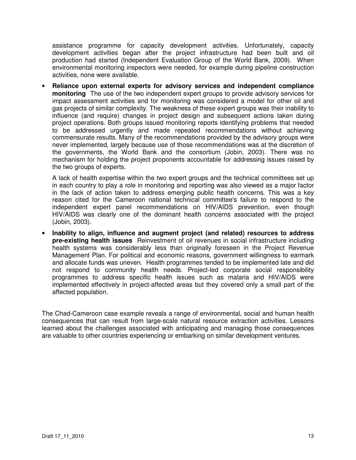assistance programme for capacity development activities. Unfortunately, capacity development activities began after the project infrastructure had been built and oil production had started (Independent Evaluation Group of the World Bank, 2009). When environmental monitoring inspectors were needed, for example during pipeline construction activities, none were available.

• **Reliance upon external experts for advisory services and independent compliance monitoring** The use of the two independent expert groups to provide advisory services for impact assessment activities and for monitoring was considered a model for other oil and gas projects of similar complexity. The weakness of these expert groups was their inability to influence (and require) changes in project design and subsequent actions taken during project operations. Both groups issued monitoring reports identifying problems that needed to be addressed urgently and made repeated recommendations without achieving commensurate results. Many of the recommendations provided by the advisory groups were never implemented, largely because use of those recommendations was at the discretion of the governments, the World Bank and the consortium (Jobin, 2003). There was no mechanism for holding the project proponents accountable for addressing issues raised by the two groups of experts.

A lack of health expertise within the two expert groups and the technical committees set up in each country to play a role in monitoring and reporting was also viewed as a major factor in the lack of action taken to address emerging public health concerns. This was a key reason cited for the Cameroon national technical committee's failure to respond to the independent expert panel recommendations on HIV/AIDS prevention, even though HIV/AIDS was clearly one of the dominant health concerns associated with the project (Jobin, 2003).

• **Inability to align, influence and augment project (and related) resources to address pre-existing health issues** Reinvestment of oil revenues in social infrastructure including health systems was considerably less than originally foreseen in the Project Revenue Management Plan. For political and economic reasons, government willingness to earmark and allocate funds was uneven. Health programmes tended to be implemented late and did not respond to community health needs. Project-led corporate social responsibility programmes to address specific health issues such as malaria and HIV/AIDS were implemented effectively in project-affected areas but they covered only a small part of the affected population.

The Chad-Cameroon case example reveals a range of environmental, social and human health consequences that can result from large-scale natural resource extraction activities. Lessons learned about the challenges associated with anticipating and managing those consequences are valuable to other countries experiencing or embarking on similar development ventures.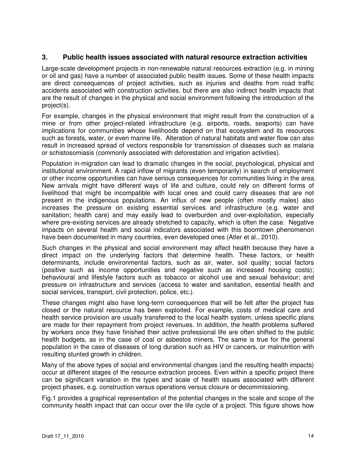#### **3. Public health issues associated with natural resource extraction activities**

Large-scale development projects in non-renewable natural resources extraction (e.g. in mining or oil and gas) have a number of associated public health issues. Some of these health impacts are direct consequences of project activities, such as injuries and deaths from road traffic accidents associated with construction activities, but there are also indirect health impacts that are the result of changes in the physical and social environment following the introduction of the project(s).

For example, changes in the physical environment that might result from the construction of a mine or from other project-related infrastructure (e.g. airports, roads, seaports) can have implications for communities whose livelihoods depend on that ecosystem and its resources such as forests, water, or even marine life. Alteration of natural habitats and water flow can also result in increased spread of vectors responsible for transmission of diseases such as malaria or schistosomiasis (commonly associated with deforestation and irrigation activities).

Population in-migration can lead to dramatic changes in the social, psychological, physical and institutional environment. A rapid inflow of migrants (even temporarily) in search of employment or other income opportunities can have serious consequences for communities living in the area. New arrivals might have different ways of life and culture, could rely on different forms of livelihood that might be incompatible with local ones and could carry diseases that are not present in the indigenous populations. An influx of new people (often mostly males) also increases the pressure on existing essential services and infrastructure (e.g. water and sanitation; health care) and may easily lead to overburden and over-exploitation, especially where pre-existing services are already stretched to capacity, which is often the case. Negative impacts on several health and social indicators associated with this boomtown phenomenon have been documented in many countries, even developed ones (Atler et al., 2010).

Such changes in the physical and social environment may affect health because they have a direct impact on the underlying factors that determine health. These factors, or health determinants, include environmental factors, such as air, water, soil quality; social factors (positive such as income opportunities and negative such as increased housing costs); behavioural and lifestyle factors such as tobacco or alcohol use and sexual behaviour; and pressure on infrastructure and services (access to water and sanitation, essential health and social services, transport, civil protection, police, etc.).

These changes might also have long-term consequences that will be felt after the project has closed or the natural resource has been exploited. For example, costs of medical care and health service provision are usually transferred to the local health system, unless specific plans are made for their repayment from project revenues. In addition, the health problems suffered by workers once they have finished their active professional life are often shifted to the public health budgets, as in the case of coal or asbestos miners. The same is true for the general population in the case of diseases of long duration such as HIV or cancers, or malnutrition with resulting stunted growth in children.

Many of the above types of social and environmental changes (and the resulting health impacts) occur at different stages of the resource extraction process. Even within a specific project there can be significant variation in the types and scale of health issues associated with different project phases, e.g. construction versus operations versus closure or decommissioning.

Fig.1 provides a graphical representation of the potential changes in the scale and scope of the community health impact that can occur over the life cycle of a project. This figure shows how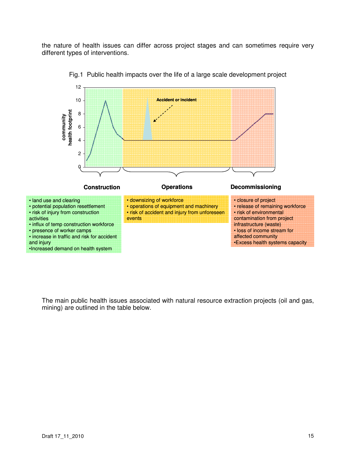the nature of health issues can differ across project stages and can sometimes require very different types of interventions.



Fig.1 Public health impacts over the life of a large scale development project

The main public health issues associated with natural resource extraction projects (oil and gas, mining) are outlined in the table below.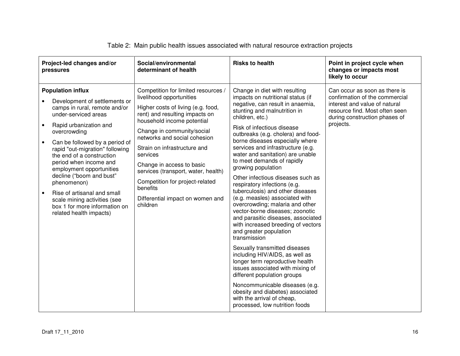| Project-led changes and/or<br>pressures                                                                                                                                                                                                                                                                                                                                                                                                                                                                                           | Social/environmental<br>determinant of health                                                                                                                                                                                                                                                                                                                                                                                                      | <b>Risks to health</b>                                                                                                                                                                                                                                                                                                                                                                                                                                                                                                                                                                                                                                                                                                                                                                                                                                                                                                                                                                                                                              | Point in project cycle when<br>changes or impacts most<br>likely to occur                                                                                                        |
|-----------------------------------------------------------------------------------------------------------------------------------------------------------------------------------------------------------------------------------------------------------------------------------------------------------------------------------------------------------------------------------------------------------------------------------------------------------------------------------------------------------------------------------|----------------------------------------------------------------------------------------------------------------------------------------------------------------------------------------------------------------------------------------------------------------------------------------------------------------------------------------------------------------------------------------------------------------------------------------------------|-----------------------------------------------------------------------------------------------------------------------------------------------------------------------------------------------------------------------------------------------------------------------------------------------------------------------------------------------------------------------------------------------------------------------------------------------------------------------------------------------------------------------------------------------------------------------------------------------------------------------------------------------------------------------------------------------------------------------------------------------------------------------------------------------------------------------------------------------------------------------------------------------------------------------------------------------------------------------------------------------------------------------------------------------------|----------------------------------------------------------------------------------------------------------------------------------------------------------------------------------|
| <b>Population influx</b><br>Development of settlements or<br>camps in rural, remote and/or<br>under-serviced areas<br>Rapid urbanization and<br>$\bullet$<br>overcrowding<br>Can be followed by a period of<br>$\bullet$<br>rapid "out-migration" following<br>the end of a construction<br>period when income and<br>employment opportunities<br>decline ("boom and bust"<br>phenomenon)<br>Rise of artisanal and small<br>$\bullet$<br>scale mining activities (see<br>box 1 for more information on<br>related health impacts) | Competition for limited resources /<br>livelihood opportunities<br>Higher costs of living (e.g. food,<br>rent) and resulting impacts on<br>household income potential<br>Change in community/social<br>networks and social cohesion<br>Strain on infrastructure and<br>services<br>Change in access to basic<br>services (transport, water, health)<br>Competition for project-related<br>benefits<br>Differential impact on women and<br>children | Change in diet with resulting<br>impacts on nutritional status (if<br>negative, can result in anaemia,<br>stunting and malnutrition in<br>children, etc.)<br>Risk of infectious disease<br>outbreaks (e.g. cholera) and food-<br>borne diseases especially where<br>services and infrastructure (e.g.<br>water and sanitation) are unable<br>to meet demands of rapidly<br>growing population<br>Other infectious diseases such as<br>respiratory infections (e.g.<br>tuberculosis) and other diseases<br>(e.g. measles) associated with<br>overcrowding; malaria and other<br>vector-borne diseases; zoonotic<br>and parasitic diseases, associated<br>with increased breeding of vectors<br>and greater population<br>transmission<br>Sexually transmitted diseases<br>including HIV/AIDS, as well as<br>longer term reproductive health<br>issues associated with mixing of<br>different population groups<br>Noncommunicable diseases (e.g.<br>obesity and diabetes) associated<br>with the arrival of cheap,<br>processed, low nutrition foods | Can occur as soon as there is<br>confirmation of the commercial<br>interest and value of natural<br>resource find. Most often seen<br>during construction phases of<br>projects. |

#### Table 2: Main public health issues associated with natural resource extraction projects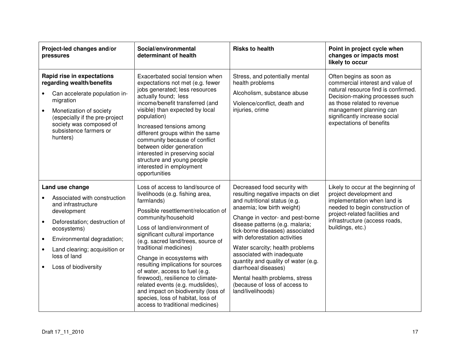| Project-led changes and/or<br>pressures                                                                                                                                                                                                                                                         | Social/environmental<br>determinant of health                                                                                                                                                                                                                                                                                                                                                                                                                                                                                                                                   | <b>Risks to health</b>                                                                                                                                                                                                                                                                                                                                                                                                                                                                              | Point in project cycle when<br>changes or impacts most<br>likely to occur                                                                                                                                                                                   |
|-------------------------------------------------------------------------------------------------------------------------------------------------------------------------------------------------------------------------------------------------------------------------------------------------|---------------------------------------------------------------------------------------------------------------------------------------------------------------------------------------------------------------------------------------------------------------------------------------------------------------------------------------------------------------------------------------------------------------------------------------------------------------------------------------------------------------------------------------------------------------------------------|-----------------------------------------------------------------------------------------------------------------------------------------------------------------------------------------------------------------------------------------------------------------------------------------------------------------------------------------------------------------------------------------------------------------------------------------------------------------------------------------------------|-------------------------------------------------------------------------------------------------------------------------------------------------------------------------------------------------------------------------------------------------------------|
| Rapid rise in expectations<br>regarding wealth/benefits<br>Can accelerate population in-<br>migration<br>Monetization of society<br>$\bullet$<br>(especially if the pre-project<br>society was composed of<br>subsistence farmers or<br>hunters)                                                | Exacerbated social tension when<br>expectations not met (e.g. fewer<br>jobs generated; less resources<br>actually found; less<br>income/benefit transferred (and<br>visible) than expected by local<br>population)<br>Increased tensions among<br>different groups within the same<br>community because of conflict<br>between older generation<br>interested in preserving social<br>structure and young people<br>interested in employment<br>opportunities                                                                                                                   | Stress, and potentially mental<br>health problems<br>Alcoholism, substance abuse<br>Violence/conflict, death and<br>injuries, crime                                                                                                                                                                                                                                                                                                                                                                 | Often begins as soon as<br>commercial interest and value of<br>natural resource find is confirmed.<br>Decision-making processes such<br>as those related to revenue<br>management planning can<br>significantly increase social<br>expectations of benefits |
| Land use change<br>Associated with construction<br>and infrastructure<br>development<br>Deforestation; destruction of<br>$\bullet$<br>ecosystems)<br>Environmental degradation;<br>$\bullet$<br>Land clearing; acquisition or<br>$\bullet$<br>loss of land<br>Loss of biodiversity<br>$\bullet$ | Loss of access to land/source of<br>livelihoods (e.g. fishing area,<br>farmlands)<br>Possible resettlement/relocation of<br>community/household<br>Loss of land/environment of<br>significant cultural importance<br>(e.g. sacred land/trees, source of<br>traditional medicines)<br>Change in ecosystems with<br>resulting implications for sources<br>of water, access to fuel (e.g.<br>firewood), resilience to climate-<br>related events (e.g. mudslides),<br>and impact on biodiversity (loss of<br>species, loss of habitat, loss of<br>access to traditional medicines) | Decreased food security with<br>resulting negative impacts on diet<br>and nutritional status (e.g.<br>anaemia; low birth weight)<br>Change in vector- and pest-borne<br>disease patterns (e.g. malaria;<br>tick-borne diseases) associated<br>with deforestation activities<br>Water scarcity; health problems<br>associated with inadequate<br>quantity and quality of water (e.g.<br>diarrhoeal diseases)<br>Mental health problems, stress<br>(because of loss of access to<br>land/livelihoods) | Likely to occur at the beginning of<br>project development and<br>implementation when land is<br>needed to begin construction of<br>project-related facilities and<br>infrastructure (access roads,<br>buildings, etc.)                                     |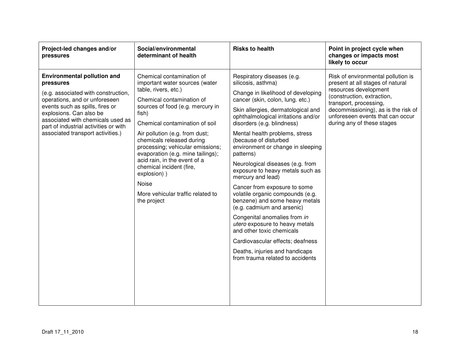| Project-led changes and/or<br>pressures                                                                                                                                                                                                                                                                  | Social/environmental<br>determinant of health                                                                                                                                                                                                                                                                                                                                                                                                                                   | <b>Risks to health</b>                                                                                                                                                                                                                                                                                                                                                                                                                                                                                                                                                                                                                                                                                                                                                                       | Point in project cycle when<br>changes or impacts most<br>likely to occur                                                                                                                                                                                        |
|----------------------------------------------------------------------------------------------------------------------------------------------------------------------------------------------------------------------------------------------------------------------------------------------------------|---------------------------------------------------------------------------------------------------------------------------------------------------------------------------------------------------------------------------------------------------------------------------------------------------------------------------------------------------------------------------------------------------------------------------------------------------------------------------------|----------------------------------------------------------------------------------------------------------------------------------------------------------------------------------------------------------------------------------------------------------------------------------------------------------------------------------------------------------------------------------------------------------------------------------------------------------------------------------------------------------------------------------------------------------------------------------------------------------------------------------------------------------------------------------------------------------------------------------------------------------------------------------------------|------------------------------------------------------------------------------------------------------------------------------------------------------------------------------------------------------------------------------------------------------------------|
| <b>Environmental pollution and</b><br>pressures<br>(e.g. associated with construction,<br>operations, and or unforeseen<br>events such as spills, fires or<br>explosions. Can also be<br>associated with chemicals used as<br>part of industrial activities or with<br>associated transport activities.) | Chemical contamination of<br>important water sources (water<br>table, rivers, etc.)<br>Chemical contamination of<br>sources of food (e.g. mercury in<br>fish)<br>Chemical contamination of soil<br>Air pollution (e.g. from dust;<br>chemicals released during<br>processing; vehicular emissions;<br>evaporation (e.g. mine tailings);<br>acid rain, in the event of a<br>chemical incident (fire,<br>explosion))<br>Noise<br>More vehicular traffic related to<br>the project | Respiratory diseases (e.g.<br>silicosis, asthma)<br>Change in likelihood of developing<br>cancer (skin, colon, lung. etc.)<br>Skin allergies, dermatological and<br>ophthalmological irritations and/or<br>disorders (e.g. blindness)<br>Mental health problems, stress<br>(because of disturbed<br>environment or change in sleeping<br>patterns)<br>Neurological diseases (e.g. from<br>exposure to heavy metals such as<br>mercury and lead)<br>Cancer from exposure to some<br>volatile organic compounds (e.g.<br>benzene) and some heavy metals<br>(e.g. cadmium and arsenic)<br>Congenital anomalies from in<br>utero exposure to heavy metals<br>and other toxic chemicals<br>Cardiovascular effects; deafness<br>Deaths, injuries and handicaps<br>from trauma related to accidents | Risk of environmental pollution is<br>present at all stages of natural<br>resources development<br>(construction, extraction,<br>transport, processing,<br>decommissioning), as is the risk of<br>unforeseen events that can occur<br>during any of these stages |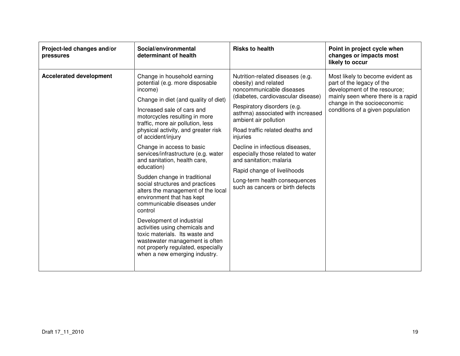| Project-led changes and/or<br>pressures | Social/environmental<br>determinant of health                                                                                                                                                                                                                                                                                                                                                                                                                                                                                                                                                                                                                                                                                                                                                  | <b>Risks to health</b>                                                                                                                                                                                                                                                                                                                                                                                                                                                        | Point in project cycle when<br>changes or impacts most<br>likely to occur                                                                                                                              |
|-----------------------------------------|------------------------------------------------------------------------------------------------------------------------------------------------------------------------------------------------------------------------------------------------------------------------------------------------------------------------------------------------------------------------------------------------------------------------------------------------------------------------------------------------------------------------------------------------------------------------------------------------------------------------------------------------------------------------------------------------------------------------------------------------------------------------------------------------|-------------------------------------------------------------------------------------------------------------------------------------------------------------------------------------------------------------------------------------------------------------------------------------------------------------------------------------------------------------------------------------------------------------------------------------------------------------------------------|--------------------------------------------------------------------------------------------------------------------------------------------------------------------------------------------------------|
| <b>Accelerated development</b>          | Change in household earning<br>potential (e.g. more disposable<br>income)<br>Change in diet (and quality of diet)<br>Increased sale of cars and<br>motorcycles resulting in more<br>traffic, more air pollution, less<br>physical activity, and greater risk<br>of accident/injury<br>Change in access to basic<br>services/infrastructure (e.g. water<br>and sanitation, health care,<br>education)<br>Sudden change in traditional<br>social structures and practices<br>alters the management of the local<br>environment that has kept<br>communicable diseases under<br>control<br>Development of industrial<br>activities using chemicals and<br>toxic materials. Its waste and<br>wastewater management is often<br>not properly regulated, especially<br>when a new emerging industry. | Nutrition-related diseases (e.g.<br>obesity) and related<br>noncommunicable diseases<br>(diabetes, cardiovascular disease)<br>Respiratory disorders (e.g.<br>asthma) associated with increased<br>ambient air pollution<br>Road traffic related deaths and<br>injuries<br>Decline in infectious diseases,<br>especially those related to water<br>and sanitation; malaria<br>Rapid change of livelihoods<br>Long-term health consequences<br>such as cancers or birth defects | Most likely to become evident as<br>part of the legacy of the<br>development of the resource;<br>mainly seen where there is a rapid<br>change in the socioeconomic<br>conditions of a given population |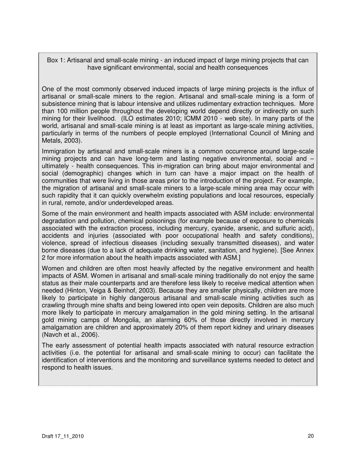Box 1: Artisanal and small-scale mining - an induced impact of large mining projects that can have significant environmental, social and health consequences

One of the most commonly observed induced impacts of large mining projects is the influx of artisanal or small-scale miners to the region. Artisanal and small-scale mining is a form of subsistence mining that is labour intensive and utilizes rudimentary extraction techniques. More than 100 million people throughout the developing world depend directly or indirectly on such mining for their livelihood. (ILO estimates 2010; ICMM 2010 - web site). In many parts of the world, artisanal and small-scale mining is at least as important as large-scale mining activities, particularly in terms of the numbers of people employed (International Council of Mining and Metals, 2003).

Immigration by artisanal and small-scale miners is a common occurrence around large-scale mining projects and can have long-term and lasting negative environmental, social and – ultimately - health consequences. This in-migration can bring about major environmental and social (demographic) changes which in turn can have a major impact on the health of communities that were living in those areas prior to the introduction of the project. For example, the migration of artisanal and small-scale miners to a large-scale mining area may occur with such rapidity that it can quickly overwhelm existing populations and local resources, especially in rural, remote, and/or underdeveloped areas.

Some of the main environment and health impacts associated with ASM include: environmental degradation and pollution, chemical poisonings (for example because of exposure to chemicals associated with the extraction process, including mercury, cyanide, arsenic, and sulfuric acid), accidents and injuries (associated with poor occupational health and safety conditions), violence, spread of infectious diseases (including sexually transmitted diseases), and water borne diseases (due to a lack of adequate drinking water, sanitation, and hygiene). [See Annex 2 for more information about the health impacts associated with ASM.]

Women and children are often most heavily affected by the negative environment and health impacts of ASM. Women in artisanal and small-scale mining traditionally do not enjoy the same status as their male counterparts and are therefore less likely to receive medical attention when needed (Hinton, Veiga & Beinhof, 2003). Because they are smaller physically, children are more likely to participate in highly dangerous artisanal and small-scale mining activities such as crawling through mine shafts and being lowered into open vein deposits. Children are also much more likely to participate in mercury amalgamation in the gold mining setting. In the artisanal gold mining camps of Mongolia, an alarming 60% of those directly involved in mercury amalgamation are children and approximately 20% of them report kidney and urinary diseases (Navch et al., 2006).

The early assessment of potential health impacts associated with natural resource extraction activities (i.e. the potential for artisanal and small-scale mining to occur) can facilitate the identification of interventions and the monitoring and surveillance systems needed to detect and respond to health issues.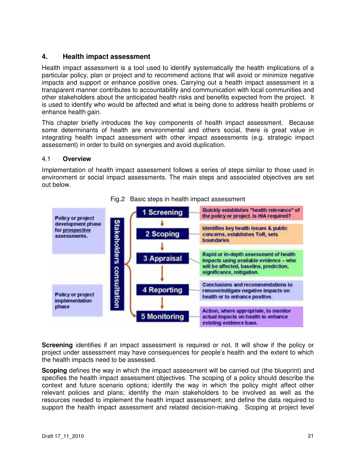#### **4. Health impact assessment**

Health impact assessment is a tool used to identify systematically the health implications of a particular policy, plan or project and to recommend actions that will avoid or minimize negative impacts and support or enhance positive ones. Carrying out a health impact assessment in a transparent manner contributes to accountability and communication with local communities and other stakeholders about the anticipated health risks and benefits expected from the project. It is used to identify who would be affected and what is being done to address health problems or enhance health gain.

This chapter briefly introduces the key components of health impact assessment. Because some determinants of health are environmental and others social, there is great value in integrating health impact assessment with other impact assessments (e.g. strategic impact assessment) in order to build on synergies and avoid duplication.

#### 4.1 **Overview**

Implementation of health impact assessment follows a series of steps similar to those used in environment or social impact assessments. The main steps and associated objectives are set out below.



#### Fig.2 Basic steps in health impact assessment

**Screening** identifies if an impact assessment is required or not. It will show if the policy or project under assessment may have consequences for people's health and the extent to which the health impacts need to be assessed.

**Scoping** defines the way in which the impact assessment will be carried out (the blueprint) and specifies the health impact assessment objectives. The scoping of a policy should describe the context and future scenario options; identify the way in which the policy might affect other relevant policies and plans; identify the main stakeholders to be involved as well as the resources needed to implement the health impact assessment; and define the data required to support the health impact assessment and related decision-making. Scoping at project level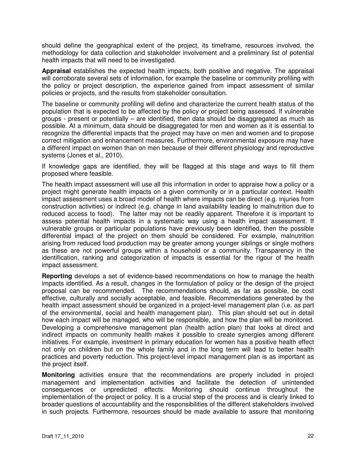should define the geographical extent of the project, its timeframe, resources involved, the methodology for data collection and stakeholder involvement and a preliminary list of potential health impacts that will need to be investigated.

**Appraisal** establishes the expected health impacts, both positive and negative. The appraisal will corroborate several sets of information, for example the baseline or community profiling with the policy or project description, the experience gained from impact assessment of similar policies or projects, and the results from stakeholder consultation.

The baseline or community profiling will define and characterize the current health status of the population that is expected to be affected by the policy or project being assessed. If vulnerable groups - present or potentially – are identified, then data should be disaggregated as much as possible. At a minimum, data should be disaggregated for men and women as it is essential to recognize the differential impacts that the project may have on men and women and to propose correct mitigation and enhancement measures. Furthermore, environmental exposure may have a different impact on women than on men because of their different physiology and reproductive systems (Jones et al., 2010).

If knowledge gaps are identified, they will be flagged at this stage and ways to fill them proposed where feasible.

The health impact assessment will use all this information in order to appraise how a policy or a project might generate health impacts on a given community or in a particular context. Health impact assessment uses a broad model of health where impacts can be direct (e.g. injuries from construction activities) or indirect (e.g. change in land availability leading to malnutrition due to reduced access to food). The latter may not be readily apparent. Therefore it is important to assess potential health impacts in a systematic way using a health impact assessment. If vulnerable groups or particular populations have previously been identified, then the possible differential impact of the project on them should be considered. For example, malnutrition arising from reduced food production may be greater among younger siblings or single mothers as these are not powerful groups within a household or a community. Transparency in the identification, ranking and categorization of impacts is essential for the rigour of the health impact assessment.

**Reporting** develops a set of evidence-based recommendations on how to manage the health impacts identified. As a result, changes in the formulation of policy or the design of the project proposal can be recommended. The recommendations should, as far as possible, be cost effective, culturally and socially acceptable, and feasible. Recommendations generated by the health impact assessment should be organized in a project-level management plan (i.e. as part of the environmental, social and health management plan). This plan should set out in detail how each impact will be managed, who will be responsible, and how the plan will be monitored. Developing a comprehensive management plan (health action plan) that looks at direct and indirect impacts on community health makes it possible to create synergies among different initiatives. For example, investment in primary education for women has a positive health effect not only on children but on the whole family and in the long term will lead to better health practices and poverty reduction. This project-level impact management plan is as important as the project itself.

**Monitoring** activities ensure that the recommendations are properly included in project management and implementation activities and facilitate the detection of unintended consequences or unpredicted effects. Monitoring should continue throughout the implementation of the project or policy. It is a crucial step of the process and is clearly linked to broader questions of accountability and the responsibilities of the different stakeholders involved in such projects. Furthermore, resources should be made available to assure that monitoring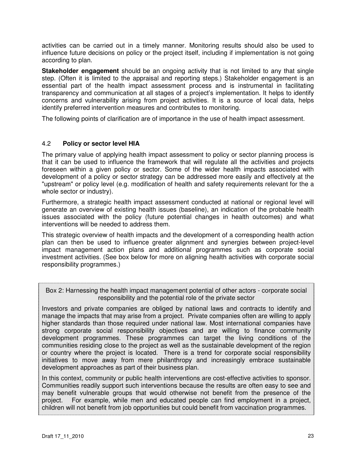activities can be carried out in a timely manner. Monitoring results should also be used to influence future decisions on policy or the project itself, including if implementation is not going according to plan.

**Stakeholder engagement** should be an ongoing activity that is not limited to any that single step. (Often it is limited to the appraisal and reporting steps.) Stakeholder engagement is an essential part of the health impact assessment process and is instrumental in facilitating transparency and communication at all stages of a project's implementation. It helps to identify concerns and vulnerability arising from project activities. It is a source of local data, helps identify preferred intervention measures and contributes to monitoring.

The following points of clarification are of importance in the use of health impact assessment.

#### 4.2 **Policy or sector level HIA**

The primary value of applying health impact assessment to policy or sector planning process is that it can be used to influence the framework that will regulate all the activities and projects foreseen within a given policy or sector. Some of the wider health impacts associated with development of a policy or sector strategy can be addressed more easily and effectively at the "upstream" or policy level (e.g. modification of health and safety requirements relevant for the a whole sector or industry).

Furthermore, a strategic health impact assessment conducted at national or regional level will generate an overview of existing health issues (baseline), an indication of the probable health issues associated with the policy (future potential changes in health outcomes) and what interventions will be needed to address them.

This strategic overview of health impacts and the development of a corresponding health action plan can then be used to influence greater alignment and synergies between project-level impact management action plans and additional programmes such as corporate social investment activities. (See box below for more on aligning health activities with corporate social responsibility programmes.)

Box 2: Harnessing the health impact management potential of other actors - corporate social responsibility and the potential role of the private sector

Investors and private companies are obliged by national laws and contracts to identify and manage the impacts that may arise from a project. Private companies often are willing to apply higher standards than those required under national law. Most international companies have strong corporate social responsibility objectives and are willing to finance community development programmes. These programmes can target the living conditions of the communities residing close to the project as well as the sustainable development of the region or country where the project is located. There is a trend for corporate social responsibility initiatives to move away from mere philanthropy and increasingly embrace sustainable development approaches as part of their business plan.

In this context, community or public health interventions are cost-effective activities to sponsor. Communities readily support such interventions because the results are often easy to see and may benefit vulnerable groups that would otherwise not benefit from the presence of the project. For example, while men and educated people can find employment in a project, children will not benefit from job opportunities but could benefit from vaccination programmes.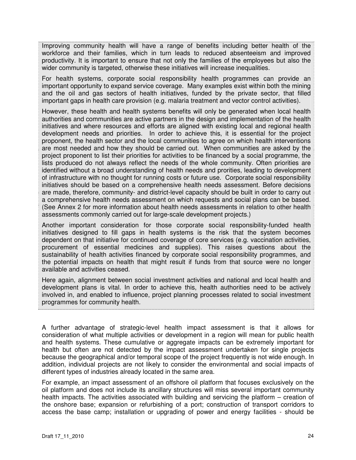Improving community health will have a range of benefits including better health of the workforce and their families, which in turn leads to reduced absenteeism and improved productivity. It is important to ensure that not only the families of the employees but also the wider community is targeted, otherwise these initiatives will increase inequalities.

For health systems, corporate social responsibility health programmes can provide an important opportunity to expand service coverage. Many examples exist within both the mining and the oil and gas sectors of health initiatives, funded by the private sector, that filled important gaps in health care provision (e.g. malaria treatment and vector control activities).

However, these health and health systems benefits will only be generated when local health authorities and communities are active partners in the design and implementation of the health initiatives and where resources and efforts are aligned with existing local and regional health development needs and priorities. In order to achieve this, it is essential for the project proponent, the health sector and the local communities to agree on which health interventions are most needed and how they should be carried out. When communities are asked by the project proponent to list their priorities for activities to be financed by a social programme, the lists produced do not always reflect the needs of the whole community. Often priorities are identified without a broad understanding of health needs and prorities, leading to development of infrastructure with no thought for running costs or future use. Corporate social responsibility initiatives should be based on a comprehensive health needs assessment. Before decisions are made, therefore, community- and district-level capacity should be built in order to carry out a comprehensive health needs assessment on which requests and social plans can be based. (See Annex 2 for more information about health needs assessments in relation to other health assessments commonly carried out for large-scale development projects.)

Another important consideration for those corporate social responsibility-funded health initiatives designed to fill gaps in health systems is the risk that the system becomes dependent on that initiative for continued coverage of core services (e.g. vaccination activities, procurement of essential medicines and supplies). This raises questions about the sustainability of health activities financed by corporate social responsibility programmes, and the potential impacts on health that might result if funds from that source were no longer available and activities ceased.

Here again, alignment between social investment activities and national and local health and development plans is vital. In order to achieve this, health authorities need to be actively involved in, and enabled to influence, project planning processes related to social investment programmes for community health.

A further advantage of strategic-level health impact assessment is that it allows for consideration of what multiple activities or development in a region will mean for public health and health systems. These cumulative or aggregate impacts can be extremely important for health but often are not detected by the impact assessment undertaken for single projects because the geographical and/or temporal scope of the project frequently is not wide enough. In addition, individual projects are not likely to consider the environmental and social impacts of different types of industries already located in the same area.

For example, an impact assessment of an offshore oil platform that focuses exclusively on the oil platform and does not include its ancillary structures will miss several important community health impacts. The activities associated with building and servicing the platform – creation of the onshore base; expansion or refurbishing of a port; construction of transport corridors to access the base camp; installation or upgrading of power and energy facilities - should be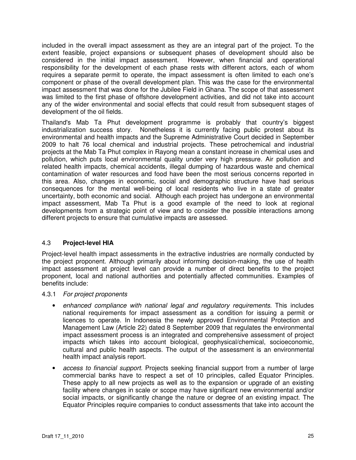included in the overall impact assessment as they are an integral part of the project. To the extent feasible, project expansions or subsequent phases of development should also be considered in the initial impact assessment. However, when financial and operational responsibility for the development of each phase rests with different actors, each of whom requires a separate permit to operate, the impact assessment is often limited to each one's component or phase of the overall development plan. This was the case for the environmental impact assessment that was done for the Jubilee Field in Ghana. The scope of that assessment was limited to the first phase of offshore development activities, and did not take into account any of the wider environmental and social effects that could result from subsequent stages of development of the oil fields.

Thailand's Mab Ta Phut development programme is probably that country's biggest industrialization success story. Nonetheless it is currently facing public protest about its environmental and health impacts and the Supreme Administrative Court decided in September 2009 to halt 76 local chemical and industrial projects. These petrochemical and industrial projects at the Mab Ta Phut complex in Rayong mean a constant increase in chemical uses and pollution, which puts local environmental quality under very high pressure. Air pollution and related health impacts, chemical accidents, illegal dumping of hazardous waste and chemical contamination of water resources and food have been the most serious concerns reported in this area. Also, changes in economic, social and demographic structure have had serious consequences for the mental well-being of local residents who live in a state of greater uncertainty, both economic and social. Although each project has undergone an environmental impact assessment, Mab Ta Phut is a good example of the need to look at regional developments from a strategic point of view and to consider the possible interactions among different projects to ensure that cumulative impacts are assessed.

#### 4.3 **Project-level HIA**

Project-level health impact assessments in the extractive industries are normally conducted by the project proponent. Although primarily about informing decision-making, the use of health impact assessment at project level can provide a number of direct benefits to the project proponent, local and national authorities and potentially affected communities. Examples of benefits include:

#### 4.3.1 For project proponents

- enhanced compliance with national legal and regulatory requirements. This includes national requirements for impact assessment as a condition for issuing a permit or licences to operate. In Indonesia the newly approved Environmental Protection and Management Law (Article 22) dated 8 September 2009 that regulates the environmental impact assessment process is an integrated and comprehensive assessment of project impacts which takes into account biological, geophysical/chemical, socioeconomic, cultural and public health aspects. The output of the assessment is an environmental health impact analysis report.
- access to financial support. Projects seeking financial support from a number of large commercial banks have to respect a set of 10 principles, called Equator Principles. These apply to all new projects as well as to the expansion or upgrade of an existing facility where changes in scale or scope may have significant new environmental and/or social impacts, or significantly change the nature or degree of an existing impact. The Equator Principles require companies to conduct assessments that take into account the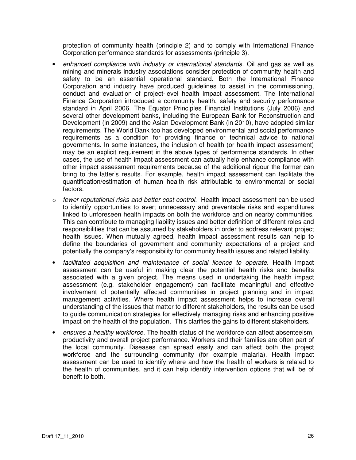protection of community health (principle 2) and to comply with International Finance Corporation performance standards for assessments (principle 3).

- enhanced compliance with industry or international standards. Oil and gas as well as mining and minerals industry associations consider protection of community health and safety to be an essential operational standard. Both the International Finance Corporation and industry have produced guidelines to assist in the commissioning, conduct and evaluation of project-level health impact assessment. The International Finance Corporation introduced a community health, safety and security performance standard in April 2006. The Equator Principles Financial Institutions (July 2006) and several other development banks, including the European Bank for Reconstruction and Development (in 2009) and the Asian Development Bank (in 2010), have adopted similar requirements. The World Bank too has developed environmental and social performance requirements as a condition for providing finance or technical advice to national governments. In some instances, the inclusion of health (or health impact assessment) may be an explicit requirement in the above types of performance standards. In other cases, the use of health impact assessment can actually help enhance compliance with other impact assessment requirements because of the additional rigour the former can bring to the latter's results. For example, health impact assessment can facilitate the quantification/estimation of human health risk attributable to environmental or social factors.
- $\circ$  fewer reputational risks and better cost control. Health impact assessment can be used to identify opportunities to avert unnecessary and preventable risks and expenditures linked to unforeseen health impacts on both the workforce and on nearby communities. This can contribute to managing liability issues and better definition of different roles and responsibilities that can be assumed by stakeholders in order to address relevant project health issues. When mutually agreed, health impact assessment results can help to define the boundaries of government and community expectations of a project and potentially the company's responsibility for community health issues and related liability.
- facilitated acquisition and maintenance of social licence to operate. Health impact assessment can be useful in making clear the potential health risks and benefits associated with a given project. The means used in undertaking the health impact assessment (e.g. stakeholder engagement) can facilitate meaningful and effective involvement of potentially affected communities in project planning and in impact management activities. Where health impact assessment helps to increase overall understanding of the issues that matter to different stakeholders, the results can be used to guide communication strategies for effectively managing risks and enhancing positive impact on the health of the population. This clarifies the gains to different stakeholders.
- ensures a healthy workforce. The health status of the workforce can affect absenteeism, productivity and overall project performance. Workers and their families are often part of the local community. Diseases can spread easily and can affect both the project workforce and the surrounding community (for example malaria). Health impact assessment can be used to identify where and how the health of workers is related to the health of communities, and it can help identify intervention options that will be of benefit to both.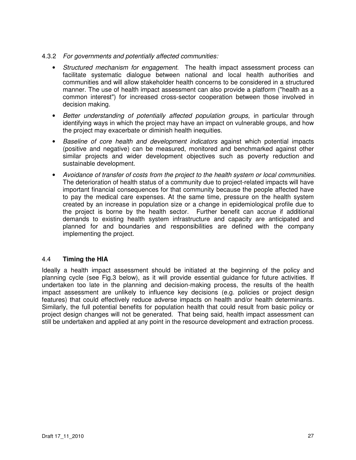- 4.3.2 For governments and potentially affected communities:
	- Structured mechanism for engagement. The health impact assessment process can facilitate systematic dialogue between national and local health authorities and communities and will allow stakeholder health concerns to be considered in a structured manner. The use of health impact assessment can also provide a platform ("health as a common interest") for increased cross-sector cooperation between those involved in decision making.
	- Better understanding of potentially affected population groups, in particular through identifying ways in which the project may have an impact on vulnerable groups, and how the project may exacerbate or diminish health inequities.
	- Baseline of core health and development indicators against which potential impacts (positive and negative) can be measured, monitored and benchmarked against other similar projects and wider development objectives such as poverty reduction and sustainable development.
	- Avoidance of transfer of costs from the project to the health system or local communities. The deterioration of health status of a community due to project-related impacts will have important financial consequences for that community because the people affected have to pay the medical care expenses. At the same time, pressure on the health system created by an increase in population size or a change in epidemiological profile due to the project is borne by the health sector.Further benefit can accrue if additional demands to existing health system infrastructure and capacity are anticipated and planned for and boundaries and responsibilities are defined with the company implementing the project.

#### 4.4 **Timing the HIA**

Ideally a health impact assessment should be initiated at the beginning of the policy and planning cycle (see Fig.3 below), as it will provide essential guidance for future activities. If undertaken too late in the planning and decision-making process, the results of the health impact assessment are unlikely to influence key decisions (e.g. policies or project design features) that could effectively reduce adverse impacts on health and/or health determinants. Similarly, the full potential benefits for population health that could result from basic policy or project design changes will not be generated. That being said, health impact assessment can still be undertaken and applied at any point in the resource development and extraction process.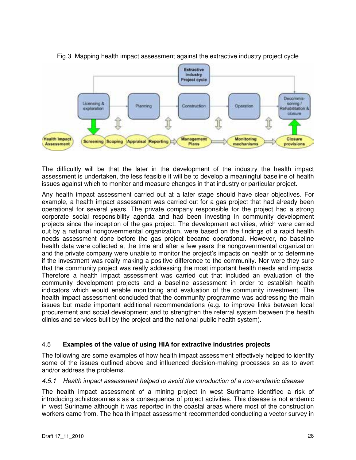

#### Fig.3 Mapping health impact assessment against the extractive industry project cycle

The difficultly will be that the later in the development of the industry the health impact assessment is undertaken, the less feasible it will be to develop a meaningful baseline of health issues against which to monitor and measure changes in that industry or particular project.

Any health impact assessment carried out at a later stage should have clear objectives. For example, a health impact assessment was carried out for a gas project that had already been operational for several years. The private company responsible for the project had a strong corporate social responsibility agenda and had been investing in community development projects since the inception of the gas project. The development activities, which were carried out by a national nongovernmental organization, were based on the findings of a rapid health needs assessment done before the gas project became operational. However, no baseline health data were collected at the time and after a few years the nongovernmental organization and the private company were unable to monitor the project's impacts on health or to determine if the investment was really making a positive difference to the community. Nor were they sure that the community project was really addressing the most important health needs and impacts. Therefore a health impact assessment was carried out that included an evaluation of the community development projects and a baseline assessment in order to establish health indicators which would enable monitoring and evaluation of the community investment. The health impact assessment concluded that the community programme was addressing the main issues but made important additional recommendations (e.g. to improve links between local procurement and social development and to strengthen the referral system between the health clinics and services built by the project and the national public health system).

#### 4.5 **Examples of the value of using HIA for extractive industries projects**

The following are some examples of how health impact assessment effectively helped to identify some of the issues outlined above and influenced decision-making processes so as to avert and/or address the problems.

#### 4.5.1 Health impact assessment helped to avoid the introduction of a non-endemic disease

The health impact assessment of a mining project in west Suriname identified a risk of introducing schistosomiasis as a consequence of project activities. This disease is not endemic in west Suriname although it was reported in the coastal areas where most of the construction workers came from. The health impact assessment recommended conducting a vector survey in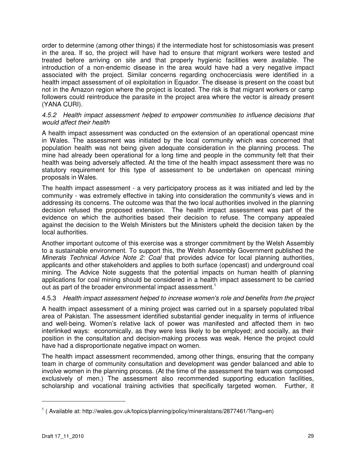order to determine (among other things) if the intermediate host for schistosomiasis was present in the area. If so, the project will have had to ensure that migrant workers were tested and treated before arriving on site and that properly hygienic facilities were available. The introduction of a non-endemic disease in the area would have had a very negative impact associated with the project. Similar concerns regarding onchocerciasis were identified in a health impact assessment of oil exploitation in Equador. The disease is present on the coast but not in the Amazon region where the project is located. The risk is that migrant workers or camp followers could reintroduce the parasite in the project area where the vector is already present (YANA CURI).

#### 4.5.2 Health impact assessment helped to empower communities to influence decisions that would affect their health

A health impact assessment was conducted on the extension of an operational opencast mine in Wales. The assessment was initiated by the local community which was concerned that population health was not being given adequate consideration in the planning process. The mine had already been operational for a long time and people in the community felt that their health was being adversely affected. At the time of the health impact assessment there was no statutory requirement for this type of assessment to be undertaken on opencast mining proposals in Wales.

The health impact assessment - a very participatory process as it was initiated and led by the community - was extremely effective in taking into consideration the community's views and in addressing its concerns. The outcome was that the two local authorities involved in the planning decision refused the proposed extension. The health impact assessment was part of the evidence on which the authorities based their decision to refuse. The company appealed against the decision to the Welsh Ministers but the Ministers upheld the decision taken by the local authorities.

Another important outcome of this exercise was a stronger commitment by the Welsh Assembly to a sustainable environment. To support this, the Welsh Assembly Government published the Minerals Technical Advice Note 2: Coal that provides advice for local planning authorities, applicants and other stakeholders and applies to both surface (opencast) and underground coal mining. The Advice Note suggests that the potential impacts on human health of planning applications for coal mining should be considered in a health impact assessment to be carried out as part of the broader environmental impact assessment.<sup>1</sup>

#### 4.5.3 Health impact assessment helped to increase women's role and benefits from the project

A health impact assessment of a mining project was carried out in a sparsely populated tribal area of Pakistan. The assessment identified substantial gender inequality in terms of influence and well-being. Women's relative lack of power was manifested and affected them in two interlinked ways: economically, as they were less likely to be employed; and socially, as their position in the consultation and decision-making process was weak. Hence the project could have had a disproportionate negative impact on women.

The health impact assessment recommended, among other things, ensuring that the company team in charge of community consultation and development was gender balanced and able to involve women in the planning process. (At the time of the assessment the team was composed exclusively of men.) The assessment also recommended supporting education facilities, scholarship and vocational training activities that specifically targeted women. Further, it

 $\overline{a}$ 

<sup>&</sup>lt;sup>1</sup> ( Available at: http://wales.gov.uk/topics/planning/policy/mineralstans/2877461/?lang=en)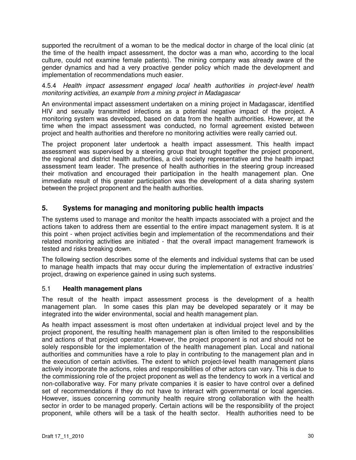supported the recruitment of a woman to be the medical doctor in charge of the local clinic (at the time of the health impact assessment, the doctor was a man who, according to the local culture, could not examine female patients). The mining company was already aware of the gender dynamics and had a very proactive gender policy which made the development and implementation of recommendations much easier.

4.5.4 Health impact assessment engaged local health authorities in project-level health monitoring activities, an example from a mining project in Madagascar

An environmental impact assessment undertaken on a mining project in Madagascar, identified HIV and sexually transmitted infections as a potential negative impact of the project. A monitoring system was developed, based on data from the health authorities. However, at the time when the impact assessment was conducted, no formal agreement existed between project and health authorities and therefore no monitoring activities were really carried out.

The project proponent later undertook a health impact assessment. This health impact assessment was supervised by a steering group that brought together the project proponent, the regional and district health authorities, a civil society representative and the health impact assessment team leader. The presence of health authorities in the steering group increased their motivation and encouraged their participation in the health management plan. One immediate result of this greater participation was the development of a data sharing system between the project proponent and the health authorities.

#### **5. Systems for managing and monitoring public health impacts**

The systems used to manage and monitor the health impacts associated with a project and the actions taken to address them are essential to the entire impact management system. It is at this point - when project activities begin and implementation of the recommendations and their related monitoring activities are initiated - that the overall impact management framework is tested and risks breaking down.

The following section describes some of the elements and individual systems that can be used to manage health impacts that may occur during the implementation of extractive industries' project, drawing on experience gained in using such systems.

#### 5.1 **Health management plans**

The result of the health impact assessment process is the development of a health management plan. In some cases this plan may be developed separately or it may be integrated into the wider environmental, social and health management plan.

As health impact assessment is most often undertaken at individual project level and by the project proponent, the resulting health management plan is often limited to the responsibilities and actions of that project operator. However, the project proponent is not and should not be solely responsible for the implementation of the health management plan. Local and national authorities and communities have a role to play in contributing to the management plan and in the execution of certain activities. The extent to which project-level health management plans actively incorporate the actions, roles and responsibilities of other actors can vary. This is due to the commissioning role of the project proponent as well as the tendency to work in a vertical and non-collaborative way. For many private companies it is easier to have control over a defined set of recommendations if they do not have to interact with governmental or local agencies. However, issues concerning community health require strong collaboration with the health sector in order to be managed properly. Certain actions will be the responsibility of the project proponent, while others will be a task of the health sector. Health authorities need to be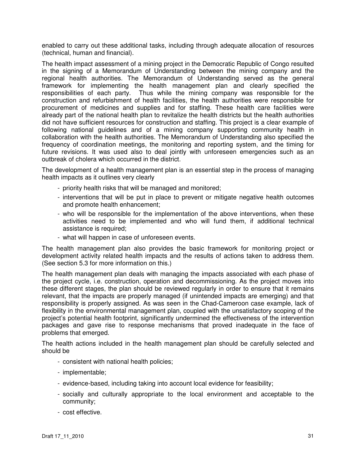enabled to carry out these additional tasks, including through adequate allocation of resources (technical, human and financial).

The health impact assessment of a mining project in the Democratic Republic of Congo resulted in the signing of a Memorandum of Understanding between the mining company and the regional health authorities. The Memorandum of Understanding served as the general framework for implementing the health management plan and clearly specified the responsibilities of each party. Thus while the mining company was responsible for the construction and refurbishment of health facilities, the health authorities were responsible for procurement of medicines and supplies and for staffing. These health care facilities were already part of the national health plan to revitalize the health districts but the health authorities did not have sufficient resources for construction and staffing. This project is a clear example of following national guidelines and of a mining company supporting community health in collaboration with the health authorities. The Memorandum of Understanding also specified the frequency of coordination meetings, the monitoring and reporting system, and the timing for future revisions. It was used also to deal jointly with unforeseen emergencies such as an outbreak of cholera which occurred in the district.

The development of a health management plan is an essential step in the process of managing health impacts as it outlines very clearly

- priority health risks that will be managed and monitored;
- interventions that will be put in place to prevent or mitigate negative health outcomes and promote health enhancement;
- who will be responsible for the implementation of the above interventions, when these activities need to be implemented and who will fund them, if additional technical assistance is required;
- what will happen in case of unforeseen events.

The health management plan also provides the basic framework for monitoring project or development activity related health impacts and the results of actions taken to address them. (See section 5.3 for more information on this.)

The health management plan deals with managing the impacts associated with each phase of the project cycle, i.e. construction, operation and decommissioning. As the project moves into these different stages, the plan should be reviewed regularly in order to ensure that it remains relevant, that the impacts are properly managed (if unintended impacts are emerging) and that responsibility is properly assigned. As was seen in the Chad-Cameroon case example, lack of flexibility in the environmental management plan, coupled with the unsatisfactory scoping of the project's potential health footprint, significantly undermined the effectiveness of the intervention packages and gave rise to response mechanisms that proved inadequate in the face of problems that emerged.

The health actions included in the health management plan should be carefully selected and should be

- consistent with national health policies;
- implementable;
- evidence-based, including taking into account local evidence for feasibility;
- socially and culturally appropriate to the local environment and acceptable to the community;
- cost effective.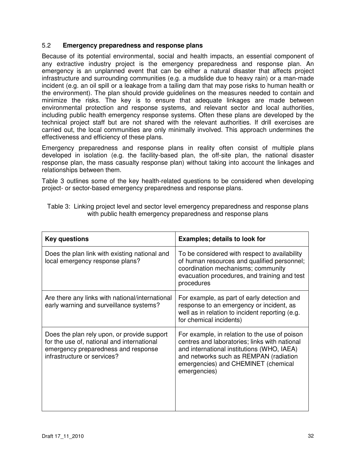#### 5.2 **Emergency preparedness and response plans**

Because of its potential environmental, social and health impacts, an essential component of any extractive industry project is the emergency preparedness and response plan. An emergency is an unplanned event that can be either a natural disaster that affects project infrastructure and surrounding communities (e.g. a mudslide due to heavy rain) or a man-made incident (e.g. an oil spill or a leakage from a tailing dam that may pose risks to human health or the environment). The plan should provide guidelines on the measures needed to contain and minimize the risks. The key is to ensure that adequate linkages are made between environmental protection and response systems, and relevant sector and local authorities, including public health emergency response systems. Often these plans are developed by the technical project staff but are not shared with the relevant authorities. If drill exercises are carried out, the local communities are only minimally involved. This approach undermines the effectiveness and efficiency of these plans.

Emergency preparedness and response plans in reality often consist of multiple plans developed in isolation (e.g. the facility-based plan, the off-site plan, the national disaster response plan, the mass casualty response plan) without taking into account the linkages and relationships between them.

Table 3 outlines some of the key health-related questions to be considered when developing project- or sector-based emergency preparedness and response plans.

| <b>Key questions</b>                                                                                                                                            | <b>Examples; details to look for</b>                                                                                                                                                                                                          |
|-----------------------------------------------------------------------------------------------------------------------------------------------------------------|-----------------------------------------------------------------------------------------------------------------------------------------------------------------------------------------------------------------------------------------------|
| Does the plan link with existing national and<br>local emergency response plans?                                                                                | To be considered with respect to availability<br>of human resources and qualified personnel;<br>coordination mechanisms; community<br>evacuation procedures, and training and test<br>procedures                                              |
| Are there any links with national/international<br>early warning and surveillance systems?                                                                      | For example, as part of early detection and<br>response to an emergency or incident, as<br>well as in relation to incident reporting (e.g.<br>for chemical incidents)                                                                         |
| Does the plan rely upon, or provide support<br>for the use of, national and international<br>emergency preparedness and response<br>infrastructure or services? | For example, in relation to the use of poison<br>centres and laboratories; links with national<br>and international institutions (WHO, IAEA)<br>and networks such as REMPAN (radiation<br>emergencies) and CHEMINET (chemical<br>emergencies) |

Table 3: Linking project level and sector level emergency preparedness and response plans with public health emergency preparedness and response plans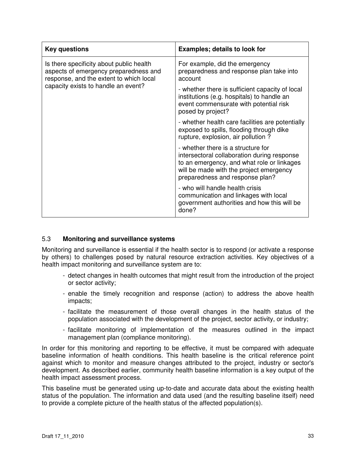| <b>Key questions</b>                                                                                                                                                | <b>Examples; details to look for</b>                                                                                                                                                                          |
|---------------------------------------------------------------------------------------------------------------------------------------------------------------------|---------------------------------------------------------------------------------------------------------------------------------------------------------------------------------------------------------------|
| Is there specificity about public health<br>aspects of emergency preparedness and<br>response, and the extent to which local<br>capacity exists to handle an event? | For example, did the emergency<br>preparedness and response plan take into<br>account                                                                                                                         |
|                                                                                                                                                                     | - whether there is sufficient capacity of local<br>institutions (e.g. hospitals) to handle an<br>event commensurate with potential risk<br>posed by project?                                                  |
|                                                                                                                                                                     | - whether health care facilities are potentially<br>exposed to spills, flooding through dike<br>rupture, explosion, air pollution?                                                                            |
|                                                                                                                                                                     | - whether there is a structure for<br>intersectoral collaboration during response<br>to an emergency, and what role or linkages<br>will be made with the project emergency<br>preparedness and response plan? |
|                                                                                                                                                                     | - who will handle health crisis<br>communication and linkages with local<br>government authorities and how this will be<br>done?                                                                              |

#### 5.3 **Monitoring and surveillance systems**

Monitoring and surveillance is essential if the health sector is to respond (or activate a response by others) to challenges posed by natural resource extraction activities. Key objectives of a health impact monitoring and surveillance system are to:

- detect changes in health outcomes that might result from the introduction of the project or sector activity;
- enable the timely recognition and response (action) to address the above health impacts;
- facilitate the measurement of those overall changes in the health status of the population associated with the development of the project, sector activity, or industry;
- facilitate monitoring of implementation of the measures outlined in the impact management plan (compliance monitoring).

In order for this monitoring and reporting to be effective, it must be compared with adequate baseline information of health conditions. This health baseline is the critical reference point against which to monitor and measure changes attributed to the project, industry or sector's development. As described earlier, community health baseline information is a key output of the health impact assessment process.

This baseline must be generated using up-to-date and accurate data about the existing health status of the population. The information and data used (and the resulting baseline itself) need to provide a complete picture of the health status of the affected population(s).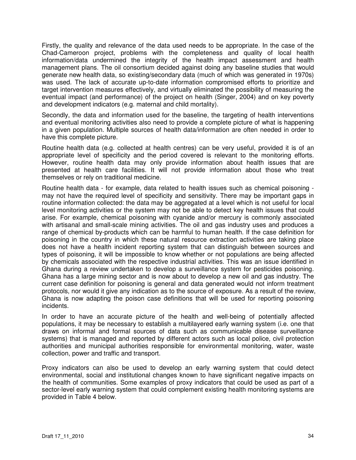Firstly, the quality and relevance of the data used needs to be appropriate. In the case of the Chad-Cameroon project, problems with the completeness and quality of local health information/data undermined the integrity of the health impact assessment and health management plans. The oil consortium decided against doing any baseline studies that would generate new health data, so existing/secondary data (much of which was generated in 1970s) was used. The lack of accurate up-to-date information compromised efforts to prioritize and target intervention measures effectively, and virtually eliminated the possibility of measuring the eventual impact (and performance) of the project on health (Singer, 2004) and on key poverty and development indicators (e.g. maternal and child mortality).

Secondly, the data and information used for the baseline, the targeting of health interventions and eventual monitoring activities also need to provide a complete picture of what is happening in a given population. Multiple sources of health data/information are often needed in order to have this complete picture.

Routine health data (e.g. collected at health centres) can be very useful, provided it is of an appropriate level of specificity and the period covered is relevant to the monitoring efforts. However, routine health data may only provide information about health issues that are presented at health care facilities. It will not provide information about those who treat themselves or rely on traditional medicine.

Routine health data - for example, data related to health issues such as chemical poisoning may not have the required level of specificity and sensitivity. There may be important gaps in routine information collected: the data may be aggregated at a level which is not useful for local level monitoring activities or the system may not be able to detect key health issues that could arise. For example, chemical poisoning with cyanide and/or mercury is commonly associated with artisanal and small-scale mining activities. The oil and gas industry uses and produces a range of chemical by-products which can be harmful to human health. If the case definition for poisoning in the country in which these natural resource extraction activities are taking place does not have a health incident reporting system that can distinguish between sources and types of poisoning, it will be impossible to know whether or not populations are being affected by chemicals associated with the respective industrial activities. This was an issue identified in Ghana during a review undertaken to develop a surveillance system for pesticides poisoning. Ghana has a large mining sector and is now about to develop a new oil and gas industry. The current case definition for poisoning is general and data generated would not inform treatment protocols, nor would it give any indication as to the source of exposure. As a result of the review, Ghana is now adapting the poison case definitions that will be used for reporting poisoning incidents.

In order to have an accurate picture of the health and well-being of potentially affected populations, it may be necessary to establish a multilayered early warning system (i.e. one that draws on informal and formal sources of data such as communicable disease surveillance systems) that is managed and reported by different actors such as local police, civil protection authorities and municipal authorities responsible for environmental monitoring, water, waste collection, power and traffic and transport.

Proxy indicators can also be used to develop an early warning system that could detect environmental, social and institutional changes known to have significant negative impacts on the health of communities. Some examples of proxy indicators that could be used as part of a sector-level early warning system that could complement existing health monitoring systems are provided in Table 4 below.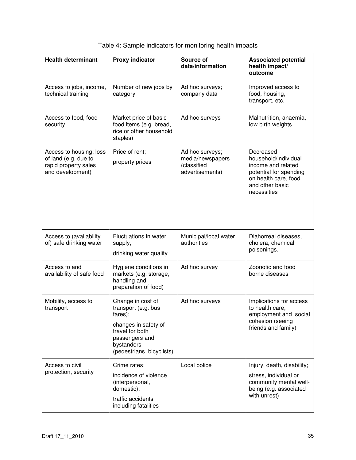| <b>Health determinant</b>                                                                   | <b>Proxy indicator</b>                                                                                                                                      | Source of<br>data/information                                         | <b>Associated potential</b><br>health impact/<br>outcome                                                                                    |
|---------------------------------------------------------------------------------------------|-------------------------------------------------------------------------------------------------------------------------------------------------------------|-----------------------------------------------------------------------|---------------------------------------------------------------------------------------------------------------------------------------------|
| Access to jobs, income,<br>technical training                                               | Number of new jobs by<br>category                                                                                                                           | Ad hoc surveys;<br>company data                                       | Improved access to<br>food, housing,<br>transport, etc.                                                                                     |
| Access to food, food<br>security                                                            | Market price of basic<br>food items (e.g. bread,<br>rice or other household<br>staples)                                                                     | Ad hoc surveys                                                        | Malnutrition, anaemia,<br>low birth weights                                                                                                 |
| Access to housing; loss<br>of land (e.g. due to<br>rapid property sales<br>and development) | Price of rent;<br>property prices                                                                                                                           | Ad hoc surveys;<br>media/newspapers<br>(classified<br>advertisements) | Decreased<br>household/individual<br>income and related<br>potential for spending<br>on health care, food<br>and other basic<br>necessities |
| Access to (availability<br>of) safe drinking water                                          | Fluctuations in water<br>supply;<br>drinking water quality                                                                                                  | Municipal/local water<br>authorities                                  | Diahorreal diseases,<br>cholera, chemical<br>poisonings.                                                                                    |
| Access to and<br>availability of safe food                                                  | Hygiene conditions in<br>markets (e.g. storage,<br>handling and<br>preparation of food)                                                                     | Ad hoc survey                                                         | Zoonotic and food<br>borne diseases                                                                                                         |
| Mobility, access to<br>transport                                                            | Change in cost of<br>transport (e.g. bus<br>fares);<br>changes in safety of<br>travel for both<br>passengers and<br>bystanders<br>(pedestrians, bicyclists) | Ad hoc surveys                                                        | Implications for access<br>to health care,<br>employment and social<br>cohesion (seeing<br>friends and family)                              |
| Access to civil<br>protection, security                                                     | Crime rates;<br>incidence of violence<br>(interpersonal,<br>domestic);<br>traffic accidents<br>including fatalities                                         | Local police                                                          | Injury, death, disability;<br>stress, individual or<br>community mental well-<br>being (e.g. associated<br>with unrest)                     |

| Table 4: Sample indicators for monitoring health impacts |  |
|----------------------------------------------------------|--|
|----------------------------------------------------------|--|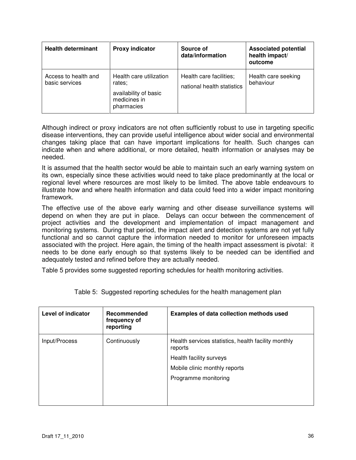| <b>Health determinant</b>              | <b>Proxy indicator</b>                                                                   | Source of<br>data/information                         | <b>Associated potential</b><br>health impact/<br>outcome |
|----------------------------------------|------------------------------------------------------------------------------------------|-------------------------------------------------------|----------------------------------------------------------|
| Access to health and<br>basic services | Health care utilization<br>rates;<br>availability of basic<br>medicines in<br>pharmacies | Health care facilities;<br>national health statistics | Health care seeking<br>behaviour                         |

Although indirect or proxy indicators are not often sufficiently robust to use in targeting specific disease interventions, they can provide useful intelligence about wider social and environmental changes taking place that can have important implications for health. Such changes can indicate when and where additional, or more detailed, health information or analyses may be needed.

It is assumed that the health sector would be able to maintain such an early warning system on its own, especially since these activities would need to take place predominantly at the local or regional level where resources are most likely to be limited. The above table endeavours to illustrate how and where health information and data could feed into a wider impact monitoring framework.

The effective use of the above early warning and other disease surveillance systems will depend on when they are put in place. Delays can occur between the commencement of project activities and the development and implementation of impact management and monitoring systems. During that period, the impact alert and detection systems are not yet fully functional and so cannot capture the information needed to monitor for unforeseen impacts associated with the project. Here again, the timing of the health impact assessment is pivotal: it needs to be done early enough so that systems likely to be needed can be identified and adequately tested and refined before they are actually needed.

Table 5 provides some suggested reporting schedules for health monitoring activities.

| <b>Level of indicator</b> | Recommended<br>frequency of<br>reporting | Examples of data collection methods used                       |
|---------------------------|------------------------------------------|----------------------------------------------------------------|
| Input/Process             | Continuously                             | Health services statistics, health facility monthly<br>reports |
|                           |                                          | Health facility surveys                                        |
|                           |                                          | Mobile clinic monthly reports                                  |
|                           |                                          | Programme monitoring                                           |
|                           |                                          |                                                                |
|                           |                                          |                                                                |

Table 5: Suggested reporting schedules for the health management plan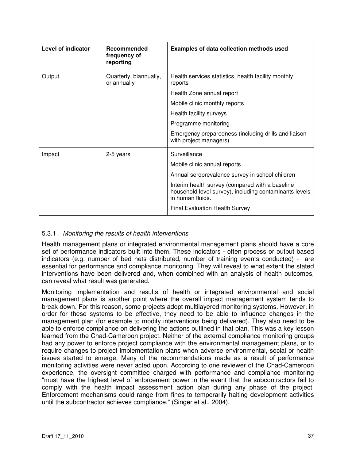| <b>Level of indicator</b> | Recommended<br>frequency of<br>reporting | <b>Examples of data collection methods used</b>                                                                                                                                                                                                                           |
|---------------------------|------------------------------------------|---------------------------------------------------------------------------------------------------------------------------------------------------------------------------------------------------------------------------------------------------------------------------|
| Output                    | Quarterly, biannually,<br>or annually    | Health services statistics, health facility monthly<br>reports<br>Health Zone annual report<br>Mobile clinic monthly reports<br>Health facility surveys<br>Programme monitoring<br>Emergency preparedness (including drills and liaison<br>with project managers)         |
| Impact                    | 2-5 years                                | Surveillance<br>Mobile clinic annual reports<br>Annual seroprevalence survey in school children<br>Interim health survey (compared with a baseline<br>household level survey), including contaminants levels<br>in human fluids.<br><b>Final Evaluation Health Survey</b> |

#### 5.3.1 Monitoring the results of health interventions

Health management plans or integrated environmental management plans should have a core set of performance indicators built into them. These indicators - often process or output based indicators (e.g. number of bed nets distributed, number of training events conducted) - are essential for performance and compliance monitoring. They will reveal to what extent the stated interventions have been delivered and, when combined with an analysis of health outcomes, can reveal what result was generated.

Monitoring implementation and results of health or integrated environmental and social management plans is another point where the overall impact management system tends to break down. For this reason, some projects adopt multilayered monitoring systems. However, in order for these systems to be effective, they need to be able to influence changes in the management plan (for example to modify interventions being delivered). They also need to be able to enforce compliance on delivering the actions outlined in that plan. This was a key lesson learned from the Chad-Cameroon project. Neither of the external compliance monitoring groups had any power to enforce project compliance with the environmental management plans, or to require changes to project implementation plans when adverse environmental, social or health issues started to emerge. Many of the recommendations made as a result of performance monitoring activities were never acted upon. According to one reviewer of the Chad-Cameroon experience, the oversight committee charged with performance and compliance monitoring "must have the highest level of enforcement power in the event that the subcontractors fail to comply with the health impact assessment action plan during any phase of the project. Enforcement mechanisms could range from fines to temporarily halting development activities until the subcontractor achieves compliance." (Singer et al., 2004).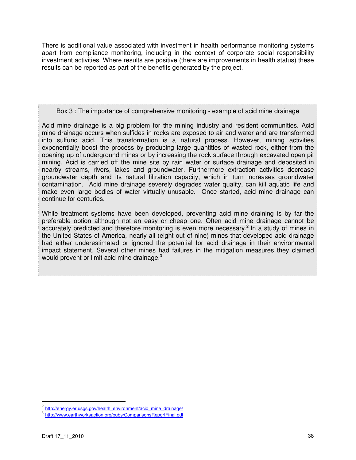There is additional value associated with investment in health performance monitoring systems apart from compliance monitoring, including in the context of corporate social responsibility investment activities. Where results are positive (there are improvements in health status) these results can be reported as part of the benefits generated by the project.

#### Box 3 : The importance of comprehensive monitoring - example of acid mine drainage

Acid mine drainage is a big problem for the mining industry and resident communities. Acid mine drainage occurs when sulfides in rocks are exposed to air and water and are transformed into sulfuric acid. This transformation is a natural process. However, mining activities exponentially boost the process by producing large quantities of wasted rock, either from the opening up of underground mines or by increasing the rock surface through excavated open pit mining. Acid is carried off the mine site by rain water or surface drainage and deposited in nearby streams, rivers, lakes and groundwater. Furthermore extraction activities decrease groundwater depth and its natural filtration capacity, which in turn increases groundwater contamination. Acid mine drainage severely degrades water quality, can kill aquatic life and make even large bodies of water virtually unusable. Once started, acid mine drainage can continue for centuries.

While treatment systems have been developed, preventing acid mine draining is by far the preferable option although not an easy or cheap one. Often acid mine drainage cannot be accurately predicted and therefore monitoring is even more necessary.<sup>2</sup> In a study of mines in the United States of America, nearly all (eight out of nine) mines that developed acid drainage had either underestimated or ignored the potential for acid drainage in their environmental impact statement. Several other mines had failures in the mitigation measures they claimed would prevent or limit acid mine drainage.<sup>3</sup>

 $\overline{a}$ 

<sup>&</sup>lt;sup>2</sup> http://energy.er.usgs.gov/health\_environment/acid\_mine\_drainage/

<sup>3</sup> http://www.earthworksaction.org/pubs/ComparisonsReportFinal.pdf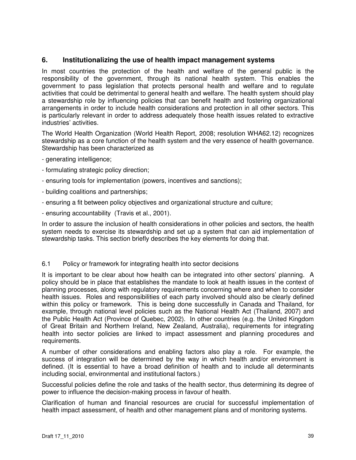#### **6. Institutionalizing the use of health impact management systems**

In most countries the protection of the health and welfare of the general public is the responsibility of the government, through its national health system. This enables the government to pass legislation that protects personal health and welfare and to regulate activities that could be detrimental to general health and welfare. The health system should play a stewardship role by influencing policies that can benefit health and fostering organizational arrangements in order to include health considerations and protection in all other sectors. This is particularly relevant in order to address adequately those health issues related to extractive industries' activities.

The World Health Organization (World Health Report, 2008; resolution WHA62.12) recognizes stewardship as a core function of the health system and the very essence of health governance. Stewardship has been characterized as

- generating intelligence;
- formulating strategic policy direction;
- ensuring tools for implementation (powers, incentives and sanctions);
- building coalitions and partnerships;
- ensuring a fit between policy objectives and organizational structure and culture;
- ensuring accountability (Travis et al., 2001).

In order to assure the inclusion of health considerations in other policies and sectors, the health system needs to exercise its stewardship and set up a system that can aid implementation of stewardship tasks. This section briefly describes the key elements for doing that.

#### 6.1 Policy or framework for integrating health into sector decisions

It is important to be clear about how health can be integrated into other sectors' planning. A policy should be in place that establishes the mandate to look at health issues in the context of planning processes, along with regulatory requirements concerning where and when to consider health issues. Roles and responsibilities of each party involved should also be clearly defined within this policy or framework. This is being done successfully in Canada and Thailand, for example, through national level policies such as the National Health Act (Thailand, 2007) and the Public Health Act (Province of Quebec, 2002). In other countries (e.g. the United Kingdom of Great Britain and Northern Ireland, New Zealand, Australia), requirements for integrating health into sector policies are linked to impact assessment and planning procedures and requirements.

A number of other considerations and enabling factors also play a role. For example, the success of integration will be determined by the way in which health and/or environment is defined. (It is essential to have a broad definition of health and to include all determinants including social, environmental and institutional factors.)

Successful policies define the role and tasks of the health sector, thus determining its degree of power to influence the decision-making process in favour of health.

Clarification of human and financial resources are crucial for successful implementation of health impact assessment, of health and other management plans and of monitoring systems.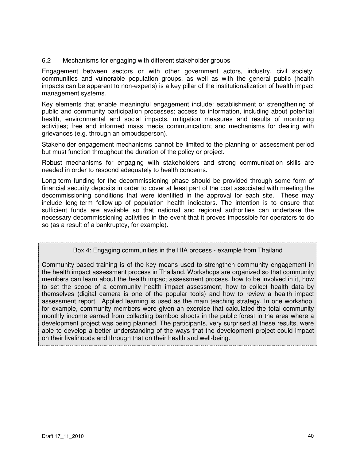#### 6.2 Mechanisms for engaging with different stakeholder groups

Engagement between sectors or with other government actors, industry, civil society, communities and vulnerable population groups, as well as with the general public (health impacts can be apparent to non-experts) is a key pillar of the institutionalization of health impact management systems.

Key elements that enable meaningful engagement include: establishment or strengthening of public and community participation processes; access to information, including about potential health, environmental and social impacts, mitigation measures and results of monitoring activities; free and informed mass media communication; and mechanisms for dealing with grievances (e.g. through an ombudsperson).

Stakeholder engagement mechanisms cannot be limited to the planning or assessment period but must function throughout the duration of the policy or project.

Robust mechanisms for engaging with stakeholders and strong communication skills are needed in order to respond adequately to health concerns.

Long-term funding for the decommissioning phase should be provided through some form of financial security deposits in order to cover at least part of the cost associated with meeting the decommissioning conditions that were identified in the approval for each site. These may include long-term follow-up of population health indicators. The intention is to ensure that sufficient funds are available so that national and regional authorities can undertake the necessary decommissioning activities in the event that it proves impossible for operators to do so (as a result of a bankruptcy, for example).

Box 4: Engaging communities in the HIA process - example from Thailand

Community-based training is of the key means used to strengthen community engagement in the health impact assessment process in Thailand. Workshops are organized so that community members can learn about the health impact assessment process, how to be involved in it, how to set the scope of a community health impact assessment, how to collect health data by themselves (digital camera is one of the popular tools) and how to review a health impact assessment report. Applied learning is used as the main teaching strategy. In one workshop, for example, community members were given an exercise that calculated the total community monthly income earned from collecting bamboo shoots in the public forest in the area where a development project was being planned. The participants, very surprised at these results, were able to develop a better understanding of the ways that the development project could impact on their livelihoods and through that on their health and well-being.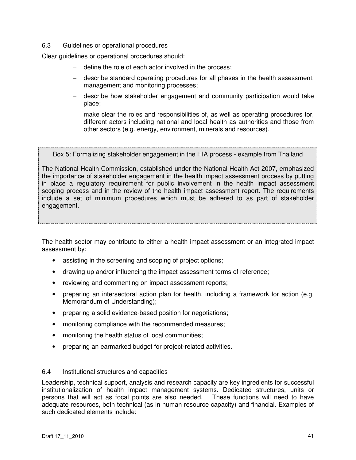#### 6.3 Guidelines or operational procedures

Clear guidelines or operational procedures should:

- define the role of each actor involved in the process;
- describe standard operating procedures for all phases in the health assessment, management and monitoring processes;
- describe how stakeholder engagement and community participation would take place;
- make clear the roles and responsibilities of, as well as operating procedures for, different actors including national and local health as authorities and those from other sectors (e.g. energy, environment, minerals and resources).

Box 5: Formalizing stakeholder engagement in the HIA process - example from Thailand

The National Health Commission, established under the National Health Act 2007, emphasized the importance of stakeholder engagement in the health impact assessment process by putting in place a regulatory requirement for public involvement in the health impact assessment scoping process and in the review of the health impact assessment report. The requirements include a set of minimum procedures which must be adhered to as part of stakeholder engagement.

The health sector may contribute to either a health impact assessment or an integrated impact assessment by:

- assisting in the screening and scoping of project options;
- drawing up and/or influencing the impact assessment terms of reference;
- reviewing and commenting on impact assessment reports;
- preparing an intersectoral action plan for health, including a framework for action (e.g. Memorandum of Understanding);
- preparing a solid evidence-based position for negotiations;
- monitoring compliance with the recommended measures;
- monitoring the health status of local communities;
- preparing an earmarked budget for project-related activities.

#### 6.4 Institutional structures and capacities

Leadership, technical support, analysis and research capacity are key ingredients for successful institutionalization of health impact management systems. Dedicated structures, units or persons that will act as focal points are also needed. These functions will need to have adequate resources, both technical (as in human resource capacity) and financial. Examples of such dedicated elements include: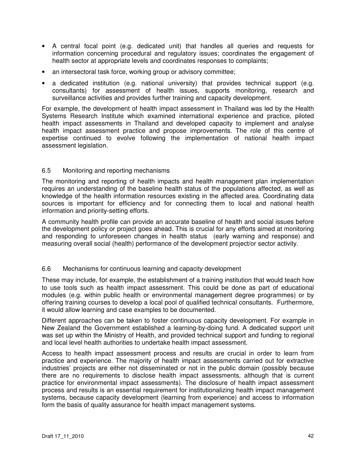- A central focal point (e.g. dedicated unit) that handles all queries and requests for information concerning procedural and regulatory issues; coordinates the engagement of health sector at appropriate levels and coordinates responses to complaints;
- an intersectoral task force, working group or advisory committee;
- a dedicated institution (e.g. national university) that provides technical support (e.g. consultants) for assessment of health issues, supports monitoring, research and surveillance activities and provides further training and capacity development.

For example, the development of health impact assessment in Thailand was led by the Health Systems Research Institute which examined international experience and practice, piloted health impact assessments in Thailand and developed capacity to implement and analyse health impact assessment practice and propose improvements. The role of this centre of expertise continued to evolve following the implementation of national health impact assessment legislation.

#### 6.5 Monitoring and reporting mechanisms

The monitoring and reporting of health impacts and health management plan implementation requires an understanding of the baseline health status of the populations affected, as well as knowledge of the health information resources existing in the affected area. Coordinating data sources is important for efficiency and for connecting them to local and national health information and priority-setting efforts.

A community health profile can provide an accurate baseline of health and social issues before the development policy or project goes ahead. This is crucial for any efforts aimed at monitoring and responding to unforeseen changes in health status (early warning and response) and measuring overall social (health) performance of the development project/or sector activity.

#### 6.6 Mechanisms for continuous learning and capacity development

These may include, for example, the establishment of a training institution that would teach how to use tools such as health impact assessment. This could be done as part of educational modules (e.g. within public health or environmental management degree programmes) or by offering training courses to develop a local pool of qualified technical consultants. Furthermore, it would allow learning and case examples to be documented.

Different approaches can be taken to foster continuous capacity development. For example in New Zealand the Government established a learning-by-doing fund. A dedicated support unit was set up within the Ministry of Health, and provided technical support and funding to regional and local level health authorities to undertake health impact assessment.

Access to health impact assessment process and results are crucial in order to learn from practice and experience. The majority of health impact assessments carried out for extractive industries' projects are either not disseminated or not in the public domain (possibly because there are no requirements to disclose health impact assessments, although that is current practice for environmental impact assessments). The disclosure of health impact assessment process and results is an essential requirement for institutionalizing health impact management systems, because capacity development (learning from experience) and access to information form the basis of quality assurance for health impact management systems.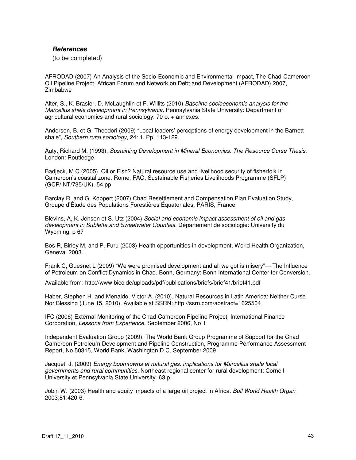#### **References**

(to be completed)

AFRODAD (2007) An Analysis of the Socio-Economic and Environmental Impact, The Chad-Cameroon Oil Pipeline Project, African Forum and Network on Debt and Development (AFRODAD) 2007, **Zimbabwe** 

Alter, S., K. Brasier, D. McLaughlin et F. Willits (2010) Baseline socioeconomic analysis for the Marcellus shale development in Pennsylvania. Pennsylvania State University: Department of agricultural economics and rural sociology. 70 p. + annexes.

Anderson, B. et G. Theodori (2009) "Local leaders' perceptions of energy development in the Barnett shale", Southern rural sociology, 24: 1. Pp. 113-129.

Auty, Richard M. (1993). Sustaining Development in Mineral Economies: The Resource Curse Thesis. London: Routledge.

Badjeck, M.C (2005). Oil or Fish? Natural resource use and livelihood security of fisherfolk in Cameroon's coastal zone. Rome, FAO, Sustainable Fisheries Livelihoods Programme (SFLP) (GCP/INT/735/UK). 54 pp.

Barclay R. and G. Koppert (2007) Chad Resettlement and Compensation Plan Evaluation Study, Groupe d'Étude des Populations Forestières Équatoriales, PARIS, France

Blevins, A, K. Jensen et S. Utz (2004) Social and economic impact assessment of oil and gas development in Sublette and Sweetwater Counties. Département de sociologie: University du Wyoming. p 67

Bos R, Birley M, and P, Furu (2003) Health opportunities in development, World Health Organization, Geneva, 2003..

Frank C, Guesnet L (2009) "We were promised development and all we got is misery"— The Influence of Petroleum on Conflict Dynamics in Chad. Bonn, Germany: Bonn International Center for Conversion.

Available from: http://www.bicc.de/uploads/pdf/publications/briefs/brief41/brief41.pdf

Haber, Stephen H. and Menaldo, Victor A. (2010), Natural Resources in Latin America: Neither Curse Nor Blessing (June 15, 2010). Available at SSRN: http://ssrn.com/abstract=1625504

IFC (2006) External Monitoring of the Chad-Cameroon Pipeline Project, International Finance Corporation, Lessons from Experience, September 2006, No 1

Independent Evaluation Group (2009), The World Bank Group Programme of Support for the Chad Cameroon Petroleum Development and Pipeline Construction, Programme Performance Assessment Report, No 50315, World Bank, Washington D.C, September 2009

Jacquet, J. (2009) Energy boomtowns et natural gas: implications for Marcellus shale local governments and rural communities. Northeast regional center for rural development: Cornell University et Pennsylvania State University. 63 p.

Jobin W. (2003) Health and equity impacts of a large oil project in Africa. Bull World Health Organ 2003;81:420-6.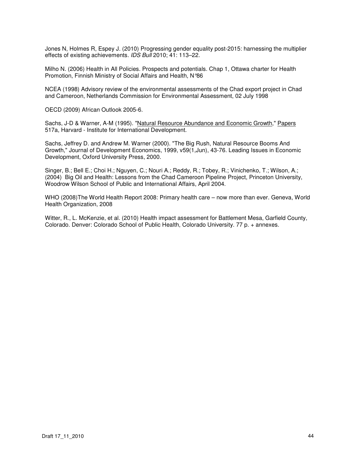Jones N, Holmes R, Espey J. (2010) Progressing gender equality post-2015: harnessing the multiplier effects of existing achievements. IDS Bull 2010; 41: 113–22.

Milho N. (2006) Health in All Policies. Prospects and potentials. Chap 1, Ottawa charter for Health Promotion, Finnish Ministry of Social Affairs and Health, N°86

NCEA (1998) Advisory review of the environmental assessments of the Chad export project in Chad and Cameroon, Netherlands Commission for Environmental Assessment, 02 July 1998

OECD (2009) African Outlook 2005-6.

Sachs, J-D & Warner, A-M (1995). "Natural Resource Abundance and Economic Growth," Papers 517a, Harvard - Institute for International Development.

Sachs, Jeffrey D. and Andrew M. Warner (2000). "The Big Rush, Natural Resource Booms And Growth," Journal of Development Economics, 1999, v59(1,Jun), 43-76. Leading Issues in Economic Development, Oxford University Press, 2000.

Singer, B.; Bell E.; Choi H.; Nguyen, C.; Nouri A.; Reddy, R.; Tobey, R.; Vinichenko, T.; Wilson, A.; (2004) Big Oil and Health: Lessons from the Chad Cameroon Pipeline Project, Princeton University, Woodrow Wilson School of Public and International Affairs, April 2004.

WHO (2008)The World Health Report 2008: Primary health care – now more than ever. Geneva, World Health Organization, 2008

Witter, R., L. McKenzie, et al. (2010) Health impact assessment for Battlement Mesa, Garfield County, Colorado. Denver: Colorado School of Public Health, Colorado University. 77 p. + annexes.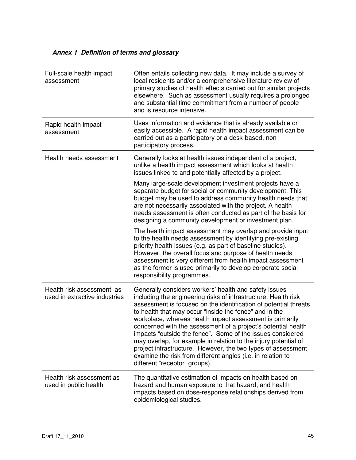# **Annex 1 Definition of terms and glossary**

| Full-scale health impact<br>assessment                     | Often entails collecting new data. It may include a survey of<br>local residents and/or a comprehensive literature review of<br>primary studies of health effects carried out for similar projects<br>elsewhere. Such as assessment usually requires a prolonged<br>and substantial time commitment from a number of people<br>and is resource intensive.                                                                                                                                                                                                                                                                                                                           |
|------------------------------------------------------------|-------------------------------------------------------------------------------------------------------------------------------------------------------------------------------------------------------------------------------------------------------------------------------------------------------------------------------------------------------------------------------------------------------------------------------------------------------------------------------------------------------------------------------------------------------------------------------------------------------------------------------------------------------------------------------------|
| Rapid health impact<br>assessment                          | Uses information and evidence that is already available or<br>easily accessible. A rapid health impact assessment can be<br>carried out as a participatory or a desk-based, non-<br>participatory process.                                                                                                                                                                                                                                                                                                                                                                                                                                                                          |
| Health needs assessment                                    | Generally looks at health issues independent of a project,<br>unlike a health impact assessment which looks at health<br>issues linked to and potentially affected by a project.                                                                                                                                                                                                                                                                                                                                                                                                                                                                                                    |
|                                                            | Many large-scale development investment projects have a<br>separate budget for social or community development. This<br>budget may be used to address community health needs that<br>are not necessarily associated with the project. A health<br>needs assessment is often conducted as part of the basis for<br>designing a community development or investment plan.                                                                                                                                                                                                                                                                                                             |
|                                                            | The health impact assessment may overlap and provide input<br>to the health needs assessment by identifying pre-existing<br>priority health issues (e.g. as part of baseline studies).<br>However, the overall focus and purpose of health needs<br>assessment is very different from health impact assessment<br>as the former is used primarily to develop corporate social<br>responsibility programmes.                                                                                                                                                                                                                                                                         |
| Health risk assessment as<br>used in extractive industries | Generally considers workers' health and safety issues<br>including the engineering risks of infrastructure. Health risk<br>assessment is focused on the identification of potential threats<br>to health that may occur "inside the fence" and in the<br>workplace, whereas health impact assessment is primarily<br>concerned with the assessment of a project's potential health<br>impacts "outside the fence". Some of the issues considered<br>may overlap, for example in relation to the injury potential of<br>project infrastructure. However, the two types of assessment<br>examine the risk from different angles (i.e. in relation to<br>different "receptor" groups). |
| Health risk assessment as<br>used in public health         | The quantitative estimation of impacts on health based on<br>hazard and human exposure to that hazard, and health<br>impacts based on dose-response relationships derived from<br>epidemiological studies.                                                                                                                                                                                                                                                                                                                                                                                                                                                                          |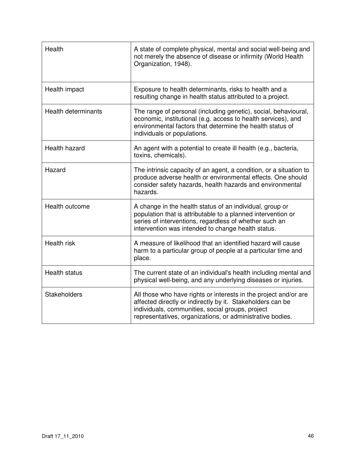| Health                     | A state of complete physical, mental and social well-being and<br>not merely the absence of disease or infirmity (World Health<br>Organization, 1948).                                                                                          |
|----------------------------|-------------------------------------------------------------------------------------------------------------------------------------------------------------------------------------------------------------------------------------------------|
| Health impact              | Exposure to health determinants, risks to health and a<br>resulting change in health status attributed to a project.                                                                                                                            |
| <b>Health determinants</b> | The range of personal (including genetic), social, behavioural,<br>economic, institutional (e.g. access to health services), and<br>environmental factors that determine the health status of<br>individuals or populations.                    |
| Health hazard              | An agent with a potential to create ill health (e.g., bacteria,<br>toxins, chemicals).                                                                                                                                                          |
| Hazard                     | The intrinsic capacity of an agent, a condition, or a situation to<br>produce adverse health or environmental effects. One should<br>consider safety hazards, health hazards and environmental<br>hazards.                                      |
| Health outcome             | A change in the health status of an individual, group or<br>population that is attributable to a planned intervention or<br>series of interventions, regardless of whether such an<br>intervention was intended to change health status.        |
| <b>Health risk</b>         | A measure of likelihood that an identified hazard will cause<br>harm to a particular group of people at a particular time and<br>place.                                                                                                         |
| <b>Health status</b>       | The current state of an individual's health including mental and<br>physical well-being, and any underlying diseases or injuries.                                                                                                               |
| <b>Stakeholders</b>        | All those who have rights or interests in the project and/or are<br>affected directly or indirectly by it. Stakeholders can be<br>individuals, communities, social groups, project<br>representatives, organizations, or administrative bodies. |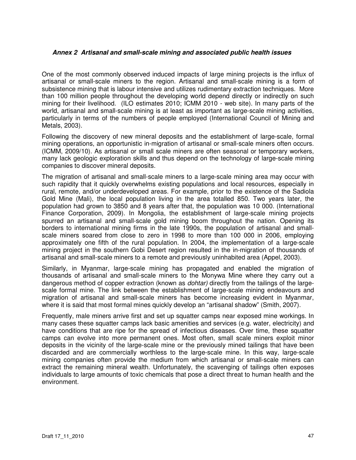#### **Annex 2 Artisanal and small-scale mining and associated public health issues**

One of the most commonly observed induced impacts of large mining projects is the influx of artisanal or small-scale miners to the region. Artisanal and small-scale mining is a form of subsistence mining that is labour intensive and utilizes rudimentary extraction techniques. More than 100 million people throughout the developing world depend directly or indirectly on such mining for their livelihood. (ILO estimates 2010; ICMM 2010 - web site). In many parts of the world, artisanal and small-scale mining is at least as important as large-scale mining activities, particularly in terms of the numbers of people employed (International Council of Mining and Metals, 2003).

Following the discovery of new mineral deposits and the establishment of large-scale, formal mining operations, an opportunistic in-migration of artisanal or small-scale miners often occurs. (ICMM, 2009/10). As artisanal or small scale miners are often seasonal or temporary workers, many lack geologic exploration skills and thus depend on the technology of large-scale mining companies to discover mineral deposits.

The migration of artisanal and small-scale miners to a large-scale mining area may occur with such rapidity that it quickly overwhelms existing populations and local resources, especially in rural, remote, and/or underdeveloped areas. For example, prior to the existence of the Sadiola Gold Mine (Mali), the local population living in the area totalled 850. Two years later, the population had grown to 3850 and 8 years after that, the population was 10 000. (International Finance Corporation, 2009). In Mongolia, the establishment of large-scale mining projects spurred an artisanal and small-scale gold mining boom throughout the nation. Opening its borders to international mining firms in the late 1990s, the population of artisanal and smallscale miners soared from close to zero in 1998 to more than 100 000 in 2006, employing approximately one fifth of the rural population. In 2004, the implementation of a large-scale mining project in the southern Gobi Desert region resulted in the in-migration of thousands of artisanal and small-scale miners to a remote and previously uninhabited area (Appel, 2003).

Similarly, in Myanmar, large-scale mining has propagated and enabled the migration of thousands of artisanal and small-scale miners to the Monywa Mine where they carry out a dangerous method of copper extraction (known as dohtar) directly from the tailings of the largescale formal mine. The link between the establishment of large-scale mining endeavours and migration of artisanal and small-scale miners has become increasing evident in Myanmar, where it is said that most formal mines quickly develop an "artisanal shadow" (Smith, 2007).

Frequently, male miners arrive first and set up squatter camps near exposed mine workings. In many cases these squatter camps lack basic amenities and services (e.g. water, electricity) and have conditions that are ripe for the spread of infectious diseases. Over time, these squatter camps can evolve into more permanent ones. Most often, small scale miners exploit minor deposits in the vicinity of the large-scale mine or the previously mined tailings that have been discarded and are commercially worthless to the large-scale mine. In this way, large-scale mining companies often provide the medium from which artisanal or small-scale miners can extract the remaining mineral wealth. Unfortunately, the scavenging of tailings often exposes individuals to large amounts of toxic chemicals that pose a direct threat to human health and the environment.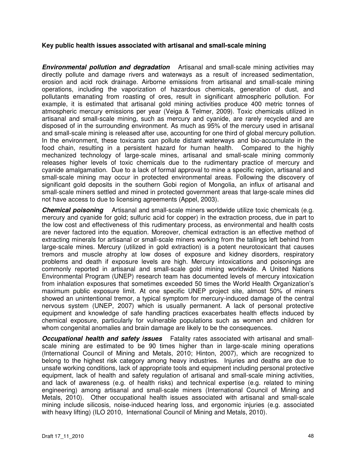#### **Key public health issues associated with artisanal and small-scale mining**

**Environmental pollution and degradation** Artisanal and small-scale mining activities may directly pollute and damage rivers and waterways as a result of increased sedimentation, erosion and acid rock drainage. Airborne emissions from artisanal and small-scale mining operations, including the vaporization of hazardous chemicals, generation of dust, and pollutants emanating from roasting of ores, result in significant atmospheric pollution. For example, it is estimated that artisanal gold mining activities produce 400 metric tonnes of atmospheric mercury emissions per year (Veiga & Telmer, 2009). Toxic chemicals utilized in artisanal and small-scale mining, such as mercury and cyanide, are rarely recycled and are disposed of in the surrounding environment. As much as 95% of the mercury used in artisanal and small-scale mining is released after use, accounting for one third of global mercury pollution. In the environment, these toxicants can pollute distant waterways and bio-accumulate in the food chain, resulting in a persistent hazard for human health. Compared to the highly mechanized technology of large-scale mines, artisanal and small-scale mining commonly releases higher levels of toxic chemicals due to the rudimentary practice of mercury and cyanide amalgamation. Due to a lack of formal approval to mine a specific region, artisanal and small-scale mining may occur in protected environmental areas. Following the discovery of significant gold deposits in the southern Gobi region of Mongolia, an influx of artisanal and small-scale miners settled and mined in protected government areas that large-scale mines did not have access to due to licensing agreements (Appel, 2003).

**Chemical poisoning** Artisanal and small-scale miners worldwide utilize toxic chemicals (e.g. mercury and cyanide for gold; sulfuric acid for copper) in the extraction process, due in part to the low cost and effectiveness of this rudimentary process, as environmental and health costs are never factored into the equation. Moreover, chemical extraction is an effective method of extracting minerals for artisanal or small-scale miners working from the tailings left behind from large-scale mines. Mercury (utilized in gold extraction) is a potent neurotoxicant that causes tremors and muscle atrophy at low doses of exposure and kidney disorders, respiratory problems and death if exposure levels are high. Mercury intoxications and poisonings are commonly reported in artisanal and small-scale gold mining worldwide. A United Nations Environmental Program (UNEP) research team has documented levels of mercury intoxication from inhalation exposures that sometimes exceeded 50 times the World Health Organization's maximum public exposure limit. At one specific UNEP project site, almost 50% of miners showed an unintentional tremor, a typical symptom for mercury-induced damage of the central nervous system (UNEP, 2007) which is usually permanent. A lack of personal protective equipment and knowledge of safe handling practices exacerbates health effects induced by chemical exposure, particularly for vulnerable populations such as women and children for whom congenital anomalies and brain damage are likely to be the consequences.

**Occupational health and safety issues** Fatality rates associated with artisanal and smallscale mining are estimated to be 90 times higher than in large-scale mining operations (International Council of Mining and Metals, 2010; Hinton, 2007), which are recognized to belong to the highest risk category among heavy industries. Injuries and deaths are due to unsafe working conditions, lack of appropriate tools and equipment including personal protective equipment, lack of health and safety regulation of artisanal and small-scale mining activities, and lack of awareness (e.g. of health risks) and technical expertise (e.g. related to mining engineering) among artisanal and small-scale miners (International Council of Mining and Metals, 2010). Other occupational health issues associated with artisanal and small-scale mining include silicosis, noise-induced hearing loss, and ergonomic injuries (e.g. associated with heavy lifting) (ILO 2010, International Council of Mining and Metals, 2010).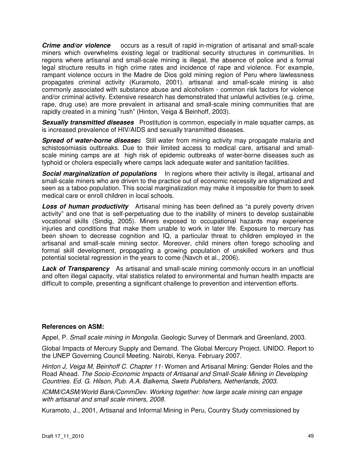**Crime and/or violence** occurs as a result of rapid in-migration of artisanal and small-scale miners which overwhelms existing legal or traditional security structures in communities. In regions where artisanal and small-scale mining is illegal, the absence of police and a formal legal structure results in high crime rates and incidence of rape and violence. For example, rampant violence occurs in the Madre de Dios gold mining region of Peru where lawlessness propagates criminal activity (Kuramoto, 2001). artisanal and small-scale mining is also commonly associated with substance abuse and alcoholism - common risk factors for violence and/or criminal activity. Extensive research has demonstrated that unlawful activities (e.g. crime, rape, drug use) are more prevalent in artisanal and small-scale mining communities that are rapidly created in a mining "rush" (Hinton, Veiga & Beinhoff, 2003).

**Sexually transmitted diseases** Prostitution is common, especially in male squatter camps, as is increased prevalence of HIV/AIDS and sexually transmitted diseases.

**Spread of water-borne diseases** Still water from mining activity may propagate malaria and schistosomiasis outbreaks. Due to their limited access to medical care, artisanal and smallscale mining camps are at high risk of epidemic outbreaks of water-borne diseases such as typhoid or cholera especially where camps lack adequate water and sanitation facilities.

**Social marginalization of populations** In regions where their activity is illegal, artisanal and small-scale miners who are driven to the practice out of economic necessity are stigmatized and seen as a taboo population. This social marginalization may make it impossible for them to seek medical care or enroll children in local schools.

**Loss of human productivity** Artisanal mining has been defined as "a purely poverty driven activity" and one that is self-perpetuating due to the inability of miners to develop sustainable vocational skills (Sindig, 2005). Miners exposed to occupational hazards may experience injuries and conditions that make them unable to work in later life. Exposure to mercury has been shown to decrease cognition and IQ, a particular threat to children employed in the artisanal and small-scale mining sector. Moreover, child miners often forego schooling and formal skill development, propagating a growing population of unskilled workers and thus potential societal regression in the years to come (Navch et al., 2006).

**Lack of Transparency** As artisanal and small-scale mining commonly occurs in an unofficial and often illegal capacity, vital statistics related to environmental and human health impacts are difficult to compile, presenting a significant challenge to prevention and intervention efforts.

#### **References on ASM:**

Appel, P. Small scale mining in Mongolia. Geologic Survey of Denmark and Greenland, 2003.

Global Impacts of Mercury Supply and Demand. The Global Mercury Project. UNIDO. Report to the UNEP Governing Council Meeting. Nairobi, Kenya. February 2007.

Hinton J. Veiga M, Beinhoff C. Chapter 11- Women and Artisanal Mining: Gender Roles and the Road Ahead. The Socio-Economic Impacts of Artisanal and Small-Scale Mining in Developing Countries. Ed. G. Hilson, Pub. A.A. Balkema, Swets Publishers, Netherlands, 2003.

ICMM/CASM/World Bank/CommDev. Working together: how large scale mining can engage with artisanal and small scale miners, 2008.

Kuramoto, J., 2001, Artisanal and Informal Mining in Peru, Country Study commissioned by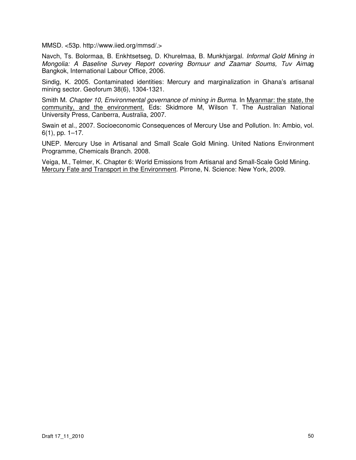MMSD. <53p. http://www.iied.org/mmsd/.>

Navch, Ts. Bolormaa, B. Enkhtsetseg, D. Khurelmaa, B. Munkhjargal. Informal Gold Mining in Mongolia: A Baseline Survey Report covering Bornuur and Zaamar Soums, Tuv Aimag Bangkok, International Labour Office, 2006.

Sindig, K. 2005. Contaminated identities: Mercury and marginalization in Ghana's artisanal mining sector. Geoforum 38(6), 1304-1321.

Smith M. Chapter 10, Environmental governance of mining in Burma. In Myanmar: the state, the community, and the environment. Eds: Skidmore M, Wilson T. The Australian National University Press, Canberra, Australia, 2007.

Swain et al., 2007. Socioeconomic Consequences of Mercury Use and Pollution. In: Ambio, vol. 6(1), pp. 1–17.

UNEP. Mercury Use in Artisanal and Small Scale Gold Mining. United Nations Environment Programme, Chemicals Branch. 2008.

Veiga, M., Telmer, K. Chapter 6: World Emissions from Artisanal and Small-Scale Gold Mining. Mercury Fate and Transport in the Environment. Pirrone, N. Science: New York, 2009.